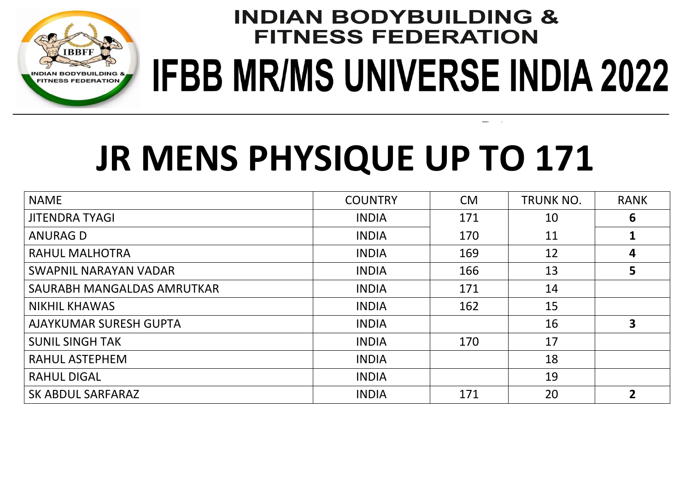

 $\sim$   $\sim$ 

# **JR MENS PHYSIQUE UP TO 171**

| <b>NAME</b>                | <b>COUNTRY</b> | <b>CM</b> | <b>TRUNK NO.</b> | <b>RANK</b>    |
|----------------------------|----------------|-----------|------------------|----------------|
| <b>JITENDRA TYAGI</b>      | <b>INDIA</b>   | 171       | 10               | 6              |
| <b>ANURAG D</b>            | <b>INDIA</b>   | 170       | 11               |                |
| <b>RAHUL MALHOTRA</b>      | <b>INDIA</b>   | 169       | 12               | 4              |
| SWAPNIL NARAYAN VADAR      | <b>INDIA</b>   | 166       | 13               | 5              |
| SAURABH MANGALDAS AMRUTKAR | <b>INDIA</b>   | 171       | 14               |                |
| <b>NIKHIL KHAWAS</b>       | <b>INDIA</b>   | 162       | 15               |                |
| AJAYKUMAR SURESH GUPTA     | <b>INDIA</b>   |           | 16               | 3              |
| <b>SUNIL SINGH TAK</b>     | <b>INDIA</b>   | 170       | 17               |                |
| <b>RAHUL ASTEPHEM</b>      | <b>INDIA</b>   |           | 18               |                |
| <b>RAHUL DIGAL</b>         | <b>INDIA</b>   |           | 19               |                |
| SK ABDUL SARFARAZ          | <b>INDIA</b>   | 171       | 20               | $\overline{2}$ |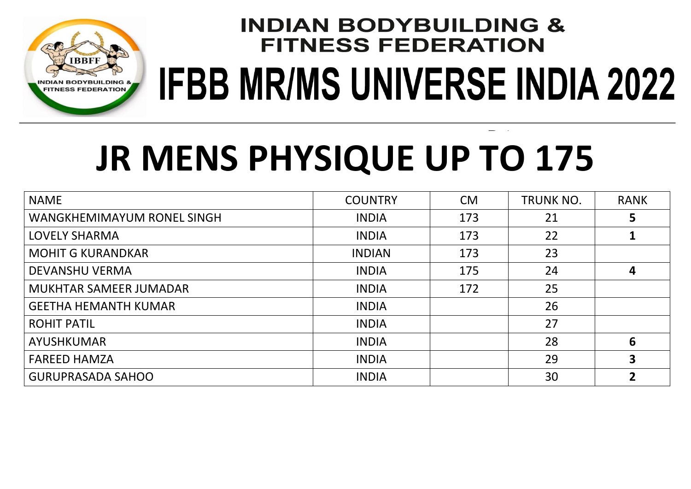

# **JR MENS PHYSIQUE UP TO 175**

| <b>NAME</b>                   | <b>COUNTRY</b> | <b>CM</b> | <b>TRUNK NO.</b> | <b>RANK</b>    |
|-------------------------------|----------------|-----------|------------------|----------------|
| WANGKHEMIMAYUM RONEL SINGH    | <b>INDIA</b>   | 173       | 21               | 5.             |
| <b>LOVELY SHARMA</b>          | <b>INDIA</b>   | 173       | 22               |                |
| <b>MOHIT G KURANDKAR</b>      | <b>INDIAN</b>  | 173       | 23               |                |
| <b>DEVANSHU VERMA</b>         | <b>INDIA</b>   | 175       | 24               | 4              |
| <b>MUKHTAR SAMEER JUMADAR</b> | <b>INDIA</b>   | 172       | 25               |                |
| <b>GEETHA HEMANTH KUMAR</b>   | <b>INDIA</b>   |           | 26               |                |
| <b>ROHIT PATIL</b>            | <b>INDIA</b>   |           | 27               |                |
| <b>AYUSHKUMAR</b>             | <b>INDIA</b>   |           | 28               | 6              |
| <b>FAREED HAMZA</b>           | <b>INDIA</b>   |           | 29               | 3              |
| <b>GURUPRASADA SAHOO</b>      | <b>INDIA</b>   |           | 30               | 2 <sup>1</sup> |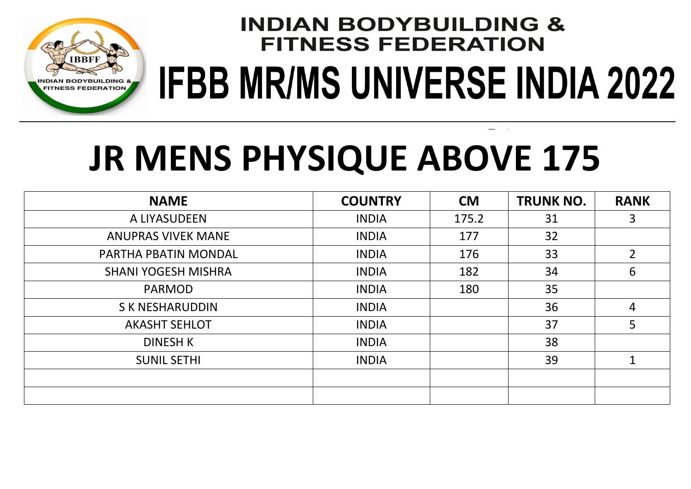

# **JR MENS PHYSIQUE ABOVE 175**

| <b>NAME</b>                | <b>COUNTRY</b> | <b>CM</b> | <b>TRUNK NO.</b> | <b>RANK</b>    |
|----------------------------|----------------|-----------|------------------|----------------|
| A LIYASUDEEN               | <b>INDIA</b>   | 175.2     | 31               | 3              |
| <b>ANUPRAS VIVEK MANE</b>  | <b>INDIA</b>   | 177       | 32               |                |
| PARTHA PBATIN MONDAL       | <b>INDIA</b>   | 176       | 33               | $2^{\circ}$    |
| <b>SHANI YOGESH MISHRA</b> | <b>INDIA</b>   | 182       | 34               | 6              |
| <b>PARMOD</b>              | <b>INDIA</b>   | 180       | 35               |                |
| <b>SK NESHARUDDIN</b>      | <b>INDIA</b>   |           | 36               | $\overline{4}$ |
| <b>AKASHT SEHLOT</b>       | <b>INDIA</b>   |           | 37               | 5              |
| <b>DINESH K</b>            | <b>INDIA</b>   |           | 38               |                |
| <b>SUNIL SETHI</b>         | <b>INDIA</b>   |           | 39               | 1              |
|                            |                |           |                  |                |
|                            |                |           |                  |                |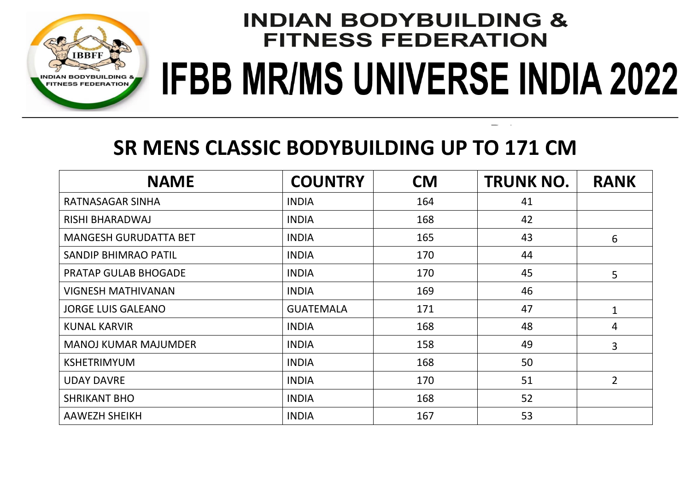

### **SR MENS CLASSIC BODYBUILDING UP TO 171 CM**

| <b>NAME</b>                  | <b>COUNTRY</b>   | <b>CM</b> | <b>TRUNK NO.</b> | <b>RANK</b>    |
|------------------------------|------------------|-----------|------------------|----------------|
| RATNASAGAR SINHA             | <b>INDIA</b>     | 164       | 41               |                |
| RISHI BHARADWAJ              | <b>INDIA</b>     | 168       | 42               |                |
| <b>MANGESH GURUDATTA BET</b> | <b>INDIA</b>     | 165       | 43               | 6              |
| <b>SANDIP BHIMRAO PATIL</b>  | <b>INDIA</b>     | 170       | 44               |                |
| <b>PRATAP GULAB BHOGADE</b>  | <b>INDIA</b>     | 170       | 45               | 5              |
| <b>VIGNESH MATHIVANAN</b>    | <b>INDIA</b>     | 169       | 46               |                |
| <b>JORGE LUIS GALEANO</b>    | <b>GUATEMALA</b> | 171       | 47               | 1              |
| <b>KUNAL KARVIR</b>          | <b>INDIA</b>     | 168       | 48               | 4              |
| <b>MANOJ KUMAR MAJUMDER</b>  | <b>INDIA</b>     | 158       | 49               | 3              |
| <b>KSHETRIMYUM</b>           | <b>INDIA</b>     | 168       | 50               |                |
| <b>UDAY DAVRE</b>            | <b>INDIA</b>     | 170       | 51               | $\overline{2}$ |
| <b>SHRIKANT BHO</b>          | <b>INDIA</b>     | 168       | 52               |                |
| <b>AAWEZH SHEIKH</b>         | <b>INDIA</b>     | 167       | 53               |                |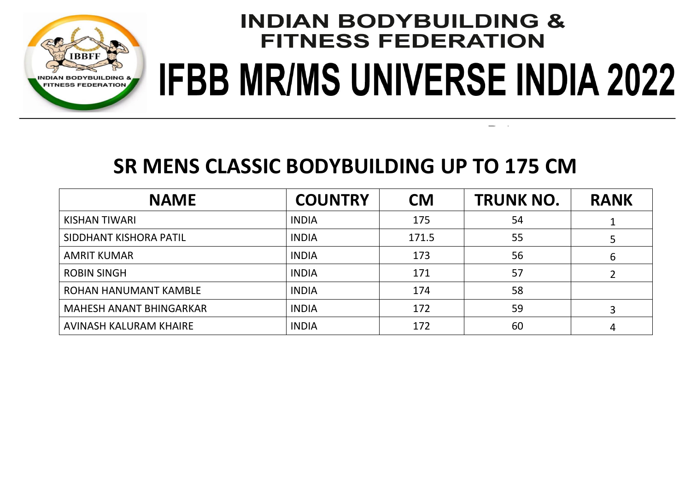

#### **SR MENS CLASSIC BODYBUILDING UP TO 175 CM**

| <b>NAME</b>                    | <b>COUNTRY</b> | <b>CM</b> | <b>TRUNK NO.</b> | <b>RANK</b> |
|--------------------------------|----------------|-----------|------------------|-------------|
| KISHAN TIWARI                  | <b>INDIA</b>   | 175       | 54               |             |
| SIDDHANT KISHORA PATIL         | <b>INDIA</b>   | 171.5     | 55               |             |
| <b>AMRIT KUMAR</b>             | <b>INDIA</b>   | 173       | 56               | 6           |
| <b>ROBIN SINGH</b>             | <b>INDIA</b>   | 171       | 57               |             |
| ROHAN HANUMANT KAMBLE          | <b>INDIA</b>   | 174       | 58               |             |
| <b>MAHESH ANANT BHINGARKAR</b> | <b>INDIA</b>   | 172       | 59               |             |
| AVINASH KALURAM KHAIRE         | <b>INDIA</b>   | 172       | 60               |             |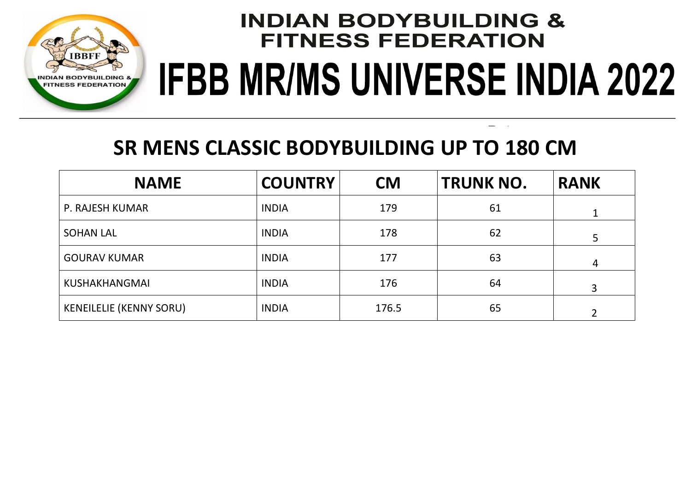

### **SR MENS CLASSIC BODYBUILDING UP TO 180 CM**

| <b>NAME</b>                    | <b>COUNTRY</b> | <b>CM</b> | <b>TRUNK NO.</b> | <b>RANK</b> |
|--------------------------------|----------------|-----------|------------------|-------------|
| P. RAJESH KUMAR                | <b>INDIA</b>   | 179       | 61               |             |
| <b>SOHAN LAL</b>               | <b>INDIA</b>   | 178       | 62               | 5           |
| <b>GOURAV KUMAR</b>            | <b>INDIA</b>   | 177       | 63               | 4           |
| <b>KUSHAKHANGMAI</b>           | <b>INDIA</b>   | 176       | 64               |             |
| <b>KENEILELIE (KENNY SORU)</b> | <b>INDIA</b>   | 176.5     | 65               |             |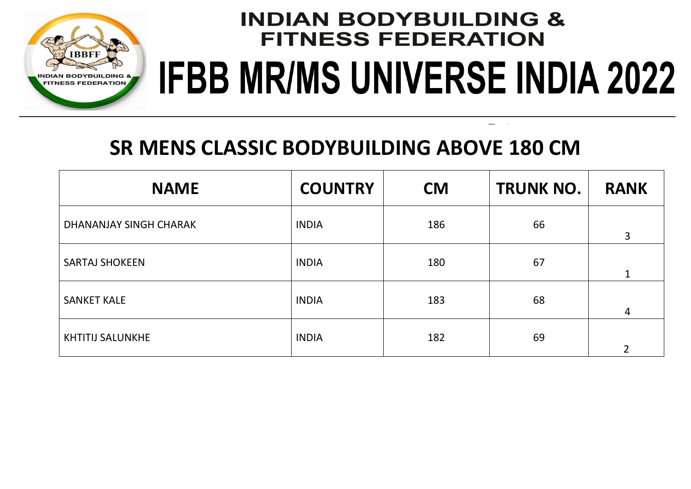

### **SR MENS CLASSIC BODYBUILDING ABOVE 180 CM**

| <b>NAME</b>             | <b>COUNTRY</b> | <b>CM</b> | <b>TRUNK NO.</b> | <b>RANK</b>    |
|-------------------------|----------------|-----------|------------------|----------------|
| DHANANJAY SINGH CHARAK  | <b>INDIA</b>   | 186       | 66               | 3              |
| <b>SARTAJ SHOKEEN</b>   | <b>INDIA</b>   | 180       | 67               | $\mathbf{1}$   |
| <b>SANKET KALE</b>      | <b>INDIA</b>   | 183       | 68               | 4              |
| <b>KHTITIJ SALUNKHE</b> | <b>INDIA</b>   | 182       | 69               | $\overline{2}$ |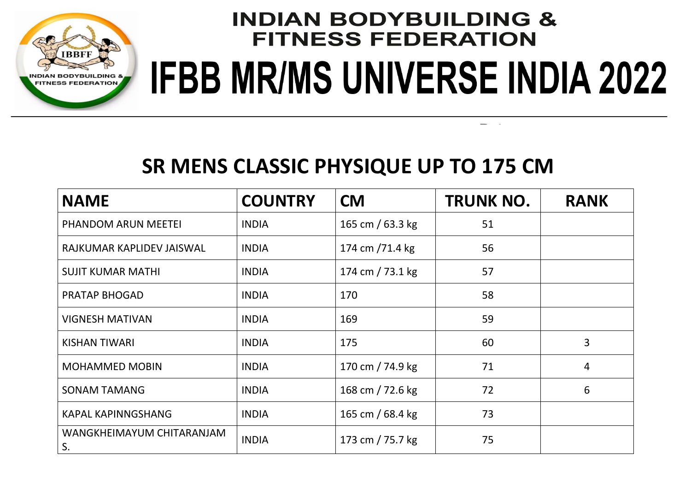

#### **SR MENS CLASSIC PHYSIQUE UP TO 175 CM**

| <b>NAME</b>                     | <b>COUNTRY</b> | <b>CM</b>        | <b>TRUNK NO.</b> | <b>RANK</b> |
|---------------------------------|----------------|------------------|------------------|-------------|
| PHANDOM ARUN MEETEI             | <b>INDIA</b>   | 165 cm / 63.3 kg | 51               |             |
| RAJKUMAR KAPLIDEV JAISWAL       | <b>INDIA</b>   | 174 cm /71.4 kg  | 56               |             |
| <b>SUJIT KUMAR MATHI</b>        | <b>INDIA</b>   | 174 cm / 73.1 kg | 57               |             |
| <b>PRATAP BHOGAD</b>            | <b>INDIA</b>   | 170              | 58               |             |
| <b>VIGNESH MATIVAN</b>          | <b>INDIA</b>   | 169              | 59               |             |
| <b>KISHAN TIWARI</b>            | <b>INDIA</b>   | 175              | 60               | 3           |
| <b>MOHAMMED MOBIN</b>           | <b>INDIA</b>   | 170 cm / 74.9 kg | 71               | 4           |
| <b>SONAM TAMANG</b>             | <b>INDIA</b>   | 168 cm / 72.6 kg | 72               | 6           |
| <b>KAPAL KAPINNGSHANG</b>       | <b>INDIA</b>   | 165 cm / 68.4 kg | 73               |             |
| WANGKHEIMAYUM CHITARANJAM<br>S. | <b>INDIA</b>   | 173 cm / 75.7 kg | 75               |             |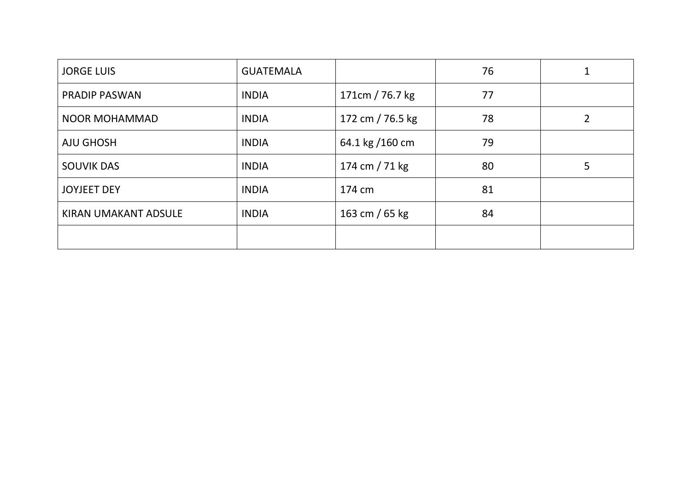| <b>JORGE LUIS</b>    | <b>GUATEMALA</b> |                  | 76 |   |
|----------------------|------------------|------------------|----|---|
| <b>PRADIP PASWAN</b> | <b>INDIA</b>     | 171cm / 76.7 kg  | 77 |   |
| <b>NOOR MOHAMMAD</b> | <b>INDIA</b>     | 172 cm / 76.5 kg | 78 | 2 |
| <b>AJU GHOSH</b>     | <b>INDIA</b>     | 64.1 kg /160 cm  | 79 |   |
| <b>SOUVIK DAS</b>    | <b>INDIA</b>     | 174 cm $/ 71$ kg | 80 | 5 |
| <b>JOYJEET DEY</b>   | <b>INDIA</b>     | 174 cm           | 81 |   |
| KIRAN UMAKANT ADSULE | <b>INDIA</b>     | 163 cm / 65 kg   | 84 |   |
|                      |                  |                  |    |   |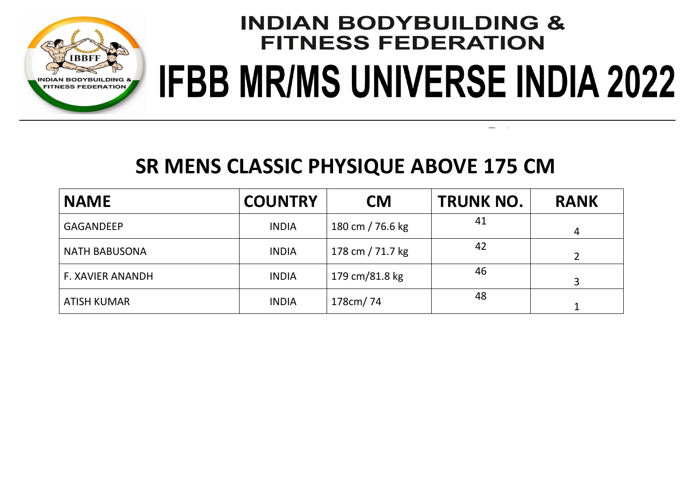

#### **SR MENS CLASSIC PHYSIQUE ABOVE 175 CM**

| <b>NAME</b>             | <b>COUNTRY</b> | <b>CM</b>        | <b>TRUNK NO.</b> | <b>RANK</b>    |
|-------------------------|----------------|------------------|------------------|----------------|
| <b>GAGANDEEP</b>        | <b>INDIA</b>   | 180 cm / 76.6 kg | 41               | $\overline{4}$ |
| <b>NATH BABUSONA</b>    | <b>INDIA</b>   | 178 cm / 71.7 kg | 42               |                |
| <b>F. XAVIER ANANDH</b> | <b>INDIA</b>   | 179 cm/81.8 kg   | 46               | 3              |
| <b>ATISH KUMAR</b>      | <b>INDIA</b>   | 178cm/74         | 48               |                |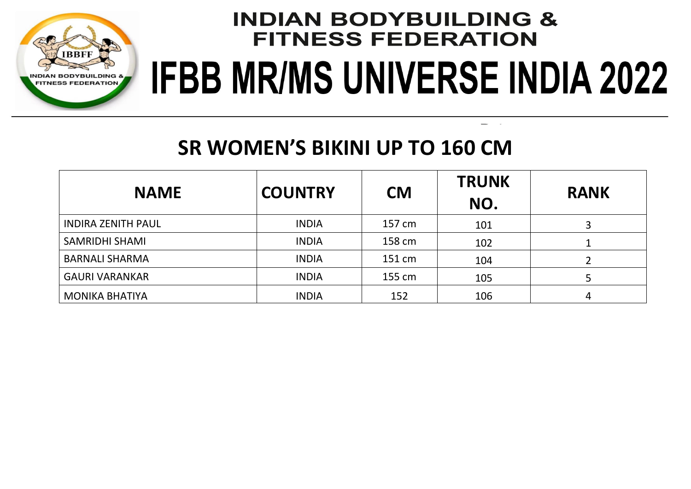

### **SR WOMEN'S BIKINI UP TO 160 CM**

| <b>NAME</b>               | <b>COUNTRY</b> | <b>CM</b> | <b>TRUNK</b><br>NO. | <b>RANK</b> |
|---------------------------|----------------|-----------|---------------------|-------------|
| <b>INDIRA ZENITH PAUL</b> | <b>INDIA</b>   | 157 cm    | 101                 |             |
| <b>SAMRIDHI SHAMI</b>     | <b>INDIA</b>   | 158 cm    | 102                 |             |
| <b>BARNALI SHARMA</b>     | <b>INDIA</b>   | 151 cm    | 104                 |             |
| <b>GAURI VARANKAR</b>     | <b>INDIA</b>   | 155 cm    | 105                 |             |
| <b>MONIKA BHATIYA</b>     | <b>INDIA</b>   | 152       | 106                 | 4           |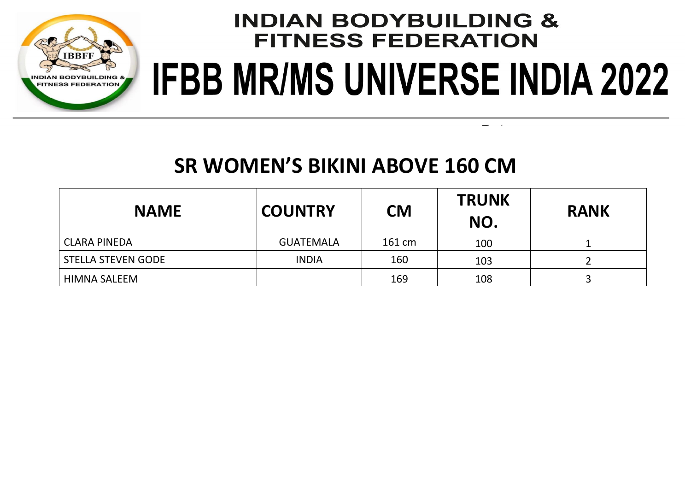

#### **SR WOMEN'S BIKINI ABOVE 160 CM**

| <b>NAME</b>               | <b>COUNTRY</b>   | <b>CM</b> | <b>TRUNK</b><br>NO. | <b>RANK</b> |
|---------------------------|------------------|-----------|---------------------|-------------|
| <b>CLARA PINEDA</b>       | <b>GUATEMALA</b> | 161 cm    | 100                 |             |
| <b>STELLA STEVEN GODE</b> | <b>INDIA</b>     | 160       | 103                 |             |
| HIMNA SALEEM              |                  | 169       | 108                 |             |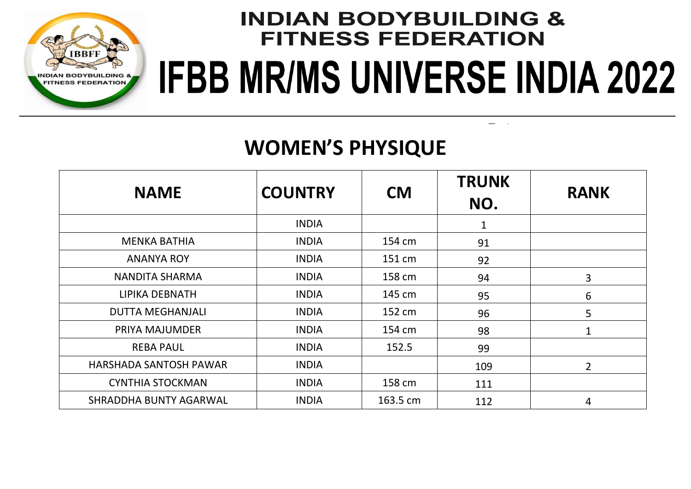

### **WOMEN'S PHYSIQUE**

| <b>NAME</b>             | <b>COUNTRY</b> | <b>CM</b> | <b>TRUNK</b><br>NO. | <b>RANK</b> |
|-------------------------|----------------|-----------|---------------------|-------------|
|                         | <b>INDIA</b>   |           | $\mathbf 1$         |             |
| <b>MENKA BATHIA</b>     | <b>INDIA</b>   | 154 cm    | 91                  |             |
| <b>ANANYA ROY</b>       | <b>INDIA</b>   | 151 cm    | 92                  |             |
| NANDITA SHARMA          | <b>INDIA</b>   | 158 cm    | 94                  | 3           |
| LIPIKA DEBNATH          | <b>INDIA</b>   | 145 cm    | 95                  | 6           |
| <b>DUTTA MEGHANJALI</b> | <b>INDIA</b>   | 152 cm    | 96                  | 5           |
| PRIYA MAJUMDER          | <b>INDIA</b>   | 154 cm    | 98                  | 1           |
| <b>REBA PAUL</b>        | <b>INDIA</b>   | 152.5     | 99                  |             |
| HARSHADA SANTOSH PAWAR  | <b>INDIA</b>   |           | 109                 | 2           |
| <b>CYNTHIA STOCKMAN</b> | <b>INDIA</b>   | 158 cm    | 111                 |             |
| SHRADDHA BUNTY AGARWAL  | <b>INDIA</b>   | 163.5 cm  | 112                 | 4           |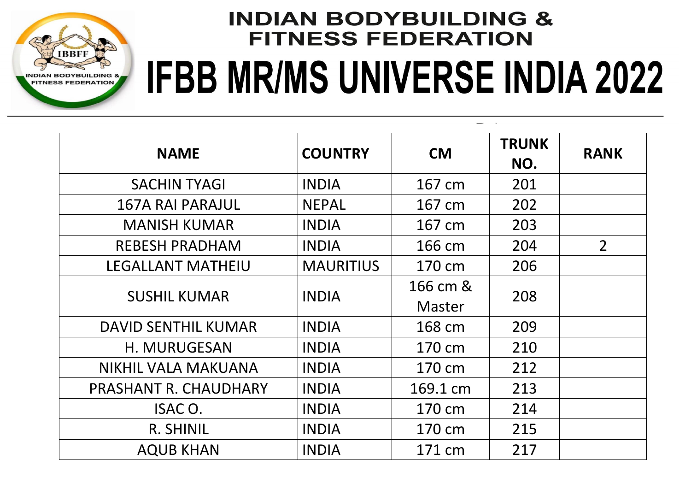

### **INDIAN BODYBUILDING & FITNESS FEDERATION** IFBB MR/MS UNIVERSE INDIA 2022 **MEN'S PHYSIQUE UP TO 171 CM**

| <b>NAME</b>              | <b>COUNTRY</b>   | <b>CM</b> | <b>TRUNK</b><br>NO. | <b>RANK</b>    |
|--------------------------|------------------|-----------|---------------------|----------------|
| <b>SACHIN TYAGI</b>      | <b>INDIA</b>     | 167 cm    | 201                 |                |
| <b>167A RAI PARAJUL</b>  | <b>NEPAL</b>     | 167 cm    | 202                 |                |
| <b>MANISH KUMAR</b>      | <b>INDIA</b>     | 167 cm    | 203                 |                |
| <b>REBESH PRADHAM</b>    | <b>INDIA</b>     | 166 cm    | 204                 | $\overline{2}$ |
| <b>LEGALLANT MATHEIU</b> | <b>MAURITIUS</b> | 170 cm    | 206                 |                |
| <b>SUSHIL KUMAR</b>      | <b>INDIA</b>     | 166 cm &  | 208                 |                |
|                          |                  | Master    |                     |                |
| DAVID SENTHIL KUMAR      | <b>INDIA</b>     | 168 cm    | 209                 |                |
| H. MURUGESAN             | <b>INDIA</b>     | 170 cm    | 210                 |                |
| NIKHIL VALA MAKUANA      | <b>INDIA</b>     | 170 cm    | 212                 |                |
| PRASHANT R. CHAUDHARY    | <b>INDIA</b>     | 169.1 cm  | 213                 |                |
| ISAC O.                  | <b>INDIA</b>     | 170 cm    | 214                 |                |
| R. SHINIL                | <b>INDIA</b>     | 170 cm    | 215                 |                |
| <b>AQUB KHAN</b>         | <b>INDIA</b>     | 171 cm    | 217                 |                |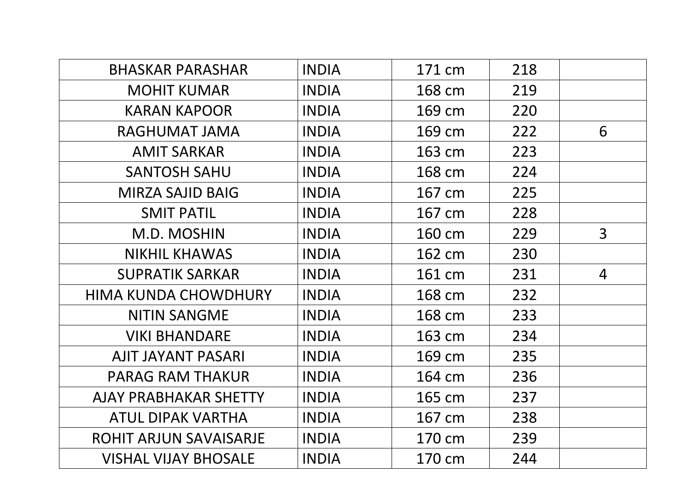| <b>BHASKAR PARASHAR</b>      | <b>INDIA</b> | 171 cm | 218 |                |
|------------------------------|--------------|--------|-----|----------------|
| <b>MOHIT KUMAR</b>           | <b>INDIA</b> | 168 cm | 219 |                |
| <b>KARAN KAPOOR</b>          | <b>INDIA</b> | 169 cm | 220 |                |
| RAGHUMAT JAMA                | <b>INDIA</b> | 169 cm | 222 | 6              |
| <b>AMIT SARKAR</b>           | <b>INDIA</b> | 163 cm | 223 |                |
| <b>SANTOSH SAHU</b>          | <b>INDIA</b> | 168 cm | 224 |                |
| <b>MIRZA SAJID BAIG</b>      | <b>INDIA</b> | 167 cm | 225 |                |
| <b>SMIT PATIL</b>            | <b>INDIA</b> | 167 cm | 228 |                |
| M.D. MOSHIN                  | <b>INDIA</b> | 160 cm | 229 | $\overline{3}$ |
| <b>NIKHIL KHAWAS</b>         | <b>INDIA</b> | 162 cm | 230 |                |
| <b>SUPRATIK SARKAR</b>       | <b>INDIA</b> | 161 cm | 231 | $\overline{4}$ |
| <b>HIMA KUNDA CHOWDHURY</b>  | <b>INDIA</b> | 168 cm | 232 |                |
| <b>NITIN SANGME</b>          | <b>INDIA</b> | 168 cm | 233 |                |
| <b>VIKI BHANDARE</b>         | <b>INDIA</b> | 163 cm | 234 |                |
| <b>AJIT JAYANT PASARI</b>    | <b>INDIA</b> | 169 cm | 235 |                |
| <b>PARAG RAM THAKUR</b>      | <b>INDIA</b> | 164 cm | 236 |                |
| <b>AJAY PRABHAKAR SHETTY</b> | <b>INDIA</b> | 165 cm | 237 |                |
| <b>ATUL DIPAK VARTHA</b>     | <b>INDIA</b> | 167 cm | 238 |                |
| ROHIT ARJUN SAVAISARJE       | <b>INDIA</b> | 170 cm | 239 |                |
| <b>VISHAL VIJAY BHOSALE</b>  | <b>INDIA</b> | 170 cm | 244 |                |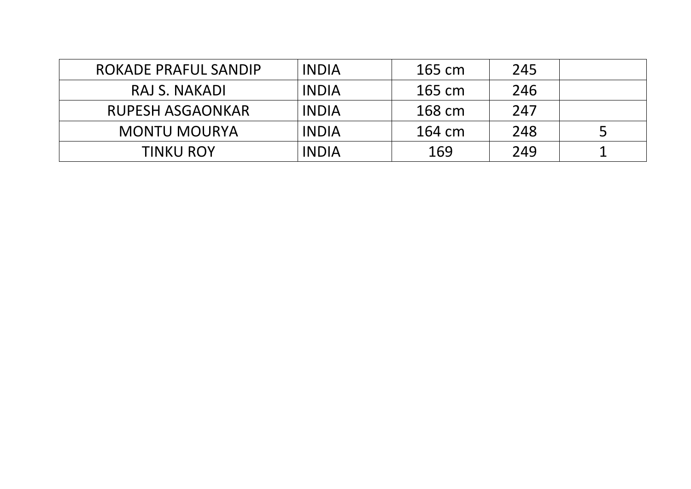| ROKADE PRAFUL SANDIP    | <b>INDIA</b> | 165 cm | 245 |  |
|-------------------------|--------------|--------|-----|--|
| RAJ S. NAKADI           | INDIA        | 165 cm | 246 |  |
| <b>RUPESH ASGAONKAR</b> | <b>INDIA</b> | 168 cm | 247 |  |
| <b>MONTU MOURYA</b>     | INDIA        | 164 cm | 248 |  |
| <b>TINKU ROY</b>        | <b>INDIA</b> | 169    | 249 |  |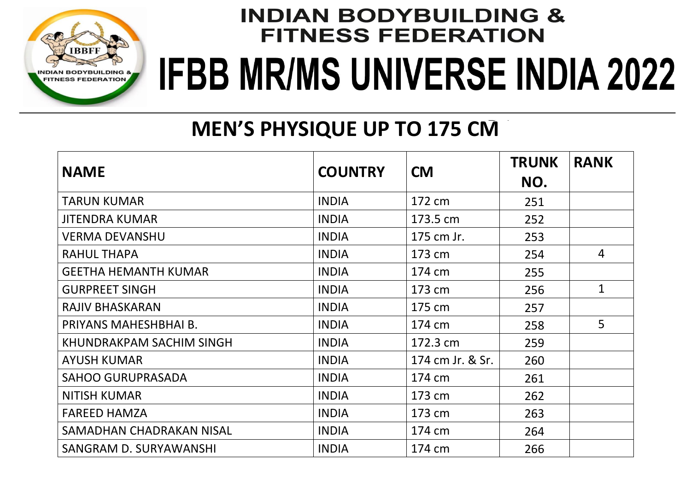

### **MEN'S PHYSIQUE UP TO 175 CM**

| <b>NAME</b>                 | <b>COUNTRY</b> | <b>CM</b>        | <b>TRUNK</b><br>NO. | <b>RANK</b>    |
|-----------------------------|----------------|------------------|---------------------|----------------|
| <b>TARUN KUMAR</b>          | <b>INDIA</b>   | 172 cm           | 251                 |                |
| <b>JITENDRA KUMAR</b>       | <b>INDIA</b>   | 173.5 cm         | 252                 |                |
| <b>VERMA DEVANSHU</b>       | <b>INDIA</b>   | 175 cm Jr.       | 253                 |                |
| <b>RAHUL THAPA</b>          | <b>INDIA</b>   | 173 cm           | 254                 | $\overline{4}$ |
| <b>GEETHA HEMANTH KUMAR</b> | <b>INDIA</b>   | 174 cm           | 255                 |                |
| <b>GURPREET SINGH</b>       | <b>INDIA</b>   | 173 cm           | 256                 | $\mathbf{1}$   |
| <b>RAJIV BHASKARAN</b>      | <b>INDIA</b>   | 175 cm           | 257                 |                |
| PRIYANS MAHESHBHAI B.       | <b>INDIA</b>   | 174 cm           | 258                 | $\overline{5}$ |
| KHUNDRAKPAM SACHIM SINGH    | <b>INDIA</b>   | 172.3 cm         | 259                 |                |
| <b>AYUSH KUMAR</b>          | <b>INDIA</b>   | 174 cm Jr. & Sr. | 260                 |                |
| <b>SAHOO GURUPRASADA</b>    | <b>INDIA</b>   | 174 cm           | 261                 |                |
| <b>NITISH KUMAR</b>         | <b>INDIA</b>   | 173 cm           | 262                 |                |
| <b>FAREED HAMZA</b>         | <b>INDIA</b>   | 173 cm           | 263                 |                |
| SAMADHAN CHADRAKAN NISAL    | <b>INDIA</b>   | 174 cm           | 264                 |                |
| SANGRAM D. SURYAWANSHI      | <b>INDIA</b>   | 174 cm           | 266                 |                |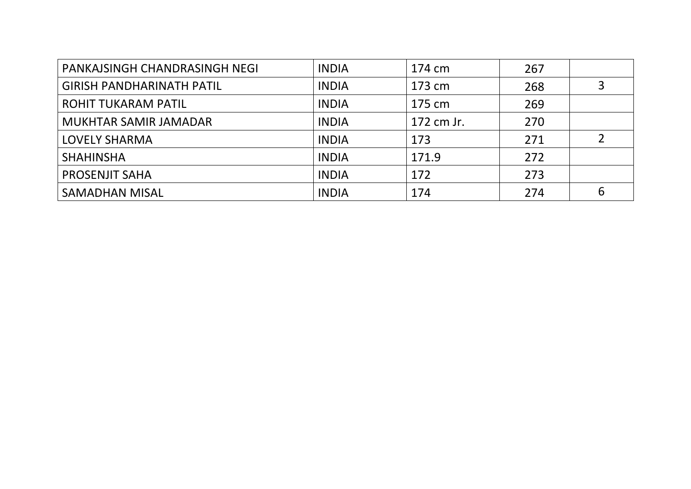| PANKAJSINGH CHANDRASINGH NEGI    | <b>INDIA</b> | 174 cm     | 267 |   |
|----------------------------------|--------------|------------|-----|---|
| <b>GIRISH PANDHARINATH PATIL</b> | <b>INDIA</b> | 173 cm     | 268 |   |
| <b>ROHIT TUKARAM PATIL</b>       | <b>INDIA</b> | 175 cm     | 269 |   |
| MUKHTAR SAMIR JAMADAR            | <b>INDIA</b> | 172 cm Jr. | 270 |   |
| <b>LOVELY SHARMA</b>             | <b>INDIA</b> | 173        | 271 |   |
| <b>SHAHINSHA</b>                 | <b>INDIA</b> | 171.9      | 272 |   |
| <b>PROSENJIT SAHA</b>            | <b>INDIA</b> | 172        | 273 |   |
| <b>SAMADHAN MISAL</b>            | <b>INDIA</b> | 174        | 274 | 6 |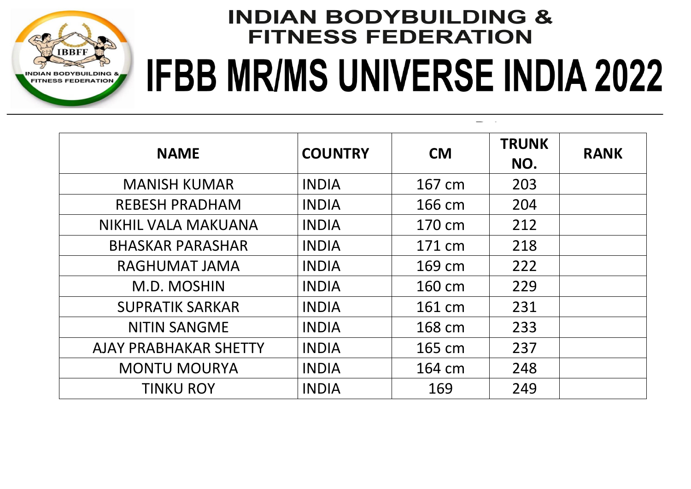

| <b>NAME</b>             | <b>COUNTRY</b> | <b>CM</b> | <b>TRUNK</b><br>NO. | <b>RANK</b> |
|-------------------------|----------------|-----------|---------------------|-------------|
| <b>MANISH KUMAR</b>     | <b>INDIA</b>   | 167 cm    | 203                 |             |
| <b>REBESH PRADHAM</b>   | <b>INDIA</b>   | 166 cm    | 204                 |             |
| NIKHIL VALA MAKUANA     | <b>INDIA</b>   | 170 cm    | 212                 |             |
| <b>BHASKAR PARASHAR</b> | <b>INDIA</b>   | 171 cm    | 218                 |             |
| <b>RAGHUMAT JAMA</b>    | <b>INDIA</b>   | 169 cm    | 222                 |             |
| M.D. MOSHIN             | <b>INDIA</b>   | 160 cm    | 229                 |             |
| <b>SUPRATIK SARKAR</b>  | <b>INDIA</b>   | 161 cm    | 231                 |             |
| <b>NITIN SANGME</b>     | <b>INDIA</b>   | 168 cm    | 233                 |             |
| AJAY PRABHAKAR SHETTY   | <b>INDIA</b>   | 165 cm    | 237                 |             |
| <b>MONTU MOURYA</b>     | <b>INDIA</b>   | 164 cm    | 248                 |             |
| <b>TINKU ROY</b>        | <b>INDIA</b>   | 169       | 249                 |             |

**MEN'S PHYSIQUE UP TO 171 CM - TOP 11**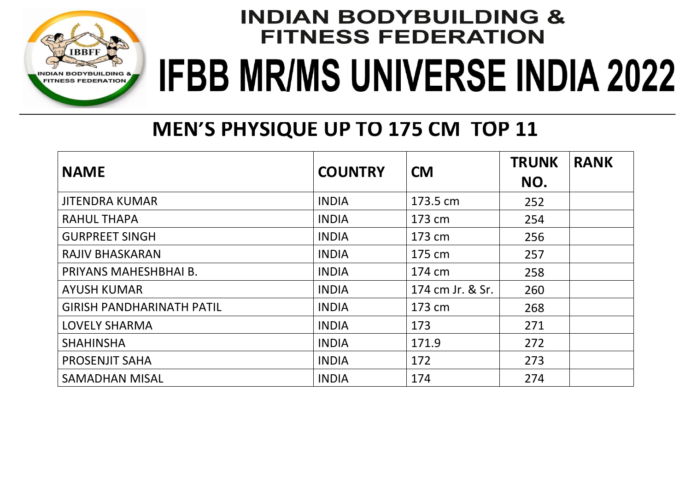

### **MEN'S PHYSIQUE UP TO 175 CM TOP 11**

| <b>NAME</b>                      | <b>COUNTRY</b> | <b>CM</b>        | <b>TRUNK</b><br>NO. | <b>RANK</b> |
|----------------------------------|----------------|------------------|---------------------|-------------|
| <b>JITENDRA KUMAR</b>            | <b>INDIA</b>   | 173.5 cm         | 252                 |             |
| <b>RAHUL THAPA</b>               | <b>INDIA</b>   | 173 cm           | 254                 |             |
| <b>GURPREET SINGH</b>            | <b>INDIA</b>   | 173 cm           | 256                 |             |
| <b>RAJIV BHASKARAN</b>           | <b>INDIA</b>   | 175 cm           | 257                 |             |
| PRIYANS MAHESHBHAI B.            | <b>INDIA</b>   | 174 cm           | 258                 |             |
| <b>AYUSH KUMAR</b>               | <b>INDIA</b>   | 174 cm Jr. & Sr. | 260                 |             |
| <b>GIRISH PANDHARINATH PATIL</b> | <b>INDIA</b>   | 173 cm           | 268                 |             |
| <b>LOVELY SHARMA</b>             | <b>INDIA</b>   | 173              | 271                 |             |
| <b>SHAHINSHA</b>                 | <b>INDIA</b>   | 171.9            | 272                 |             |
| <b>PROSENJIT SAHA</b>            | <b>INDIA</b>   | 172              | 273                 |             |
| <b>SAMADHAN MISAL</b>            | <b>INDIA</b>   | 174              | 274                 |             |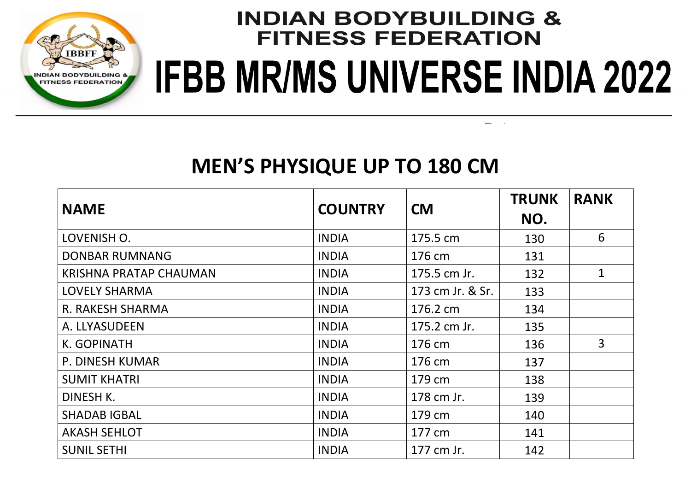

#### **MEN'S PHYSIQUE UP TO 180 CM**

| <b>NAME</b>                   | <b>COUNTRY</b> | <b>CM</b>        | <b>TRUNK</b><br>NO. | <b>RANK</b>    |
|-------------------------------|----------------|------------------|---------------------|----------------|
| LOVENISH O.                   | <b>INDIA</b>   | 175.5 cm         | 130                 | 6              |
| <b>DONBAR RUMNANG</b>         | <b>INDIA</b>   | 176 cm           | 131                 |                |
| <b>KRISHNA PRATAP CHAUMAN</b> | <b>INDIA</b>   | 175.5 cm Jr.     | 132                 | $\mathbf{1}$   |
| LOVELY SHARMA                 | <b>INDIA</b>   | 173 cm Jr. & Sr. | 133                 |                |
| R. RAKESH SHARMA              | <b>INDIA</b>   | 176.2 cm         | 134                 |                |
| A. LLYASUDEEN                 | <b>INDIA</b>   | 175.2 cm Jr.     | 135                 |                |
| K. GOPINATH                   | <b>INDIA</b>   | 176 cm           | 136                 | $\overline{3}$ |
| P. DINESH KUMAR               | <b>INDIA</b>   | 176 cm           | 137                 |                |
| <b>SUMIT KHATRI</b>           | <b>INDIA</b>   | 179 cm           | 138                 |                |
| DINESH K.                     | <b>INDIA</b>   | 178 cm Jr.       | 139                 |                |
| <b>SHADAB IGBAL</b>           | <b>INDIA</b>   | 179 cm           | 140                 |                |
| <b>AKASH SEHLOT</b>           | <b>INDIA</b>   | 177 cm           | 141                 |                |
| <b>SUNIL SETHI</b>            | <b>INDIA</b>   | 177 cm Jr.       | 142                 |                |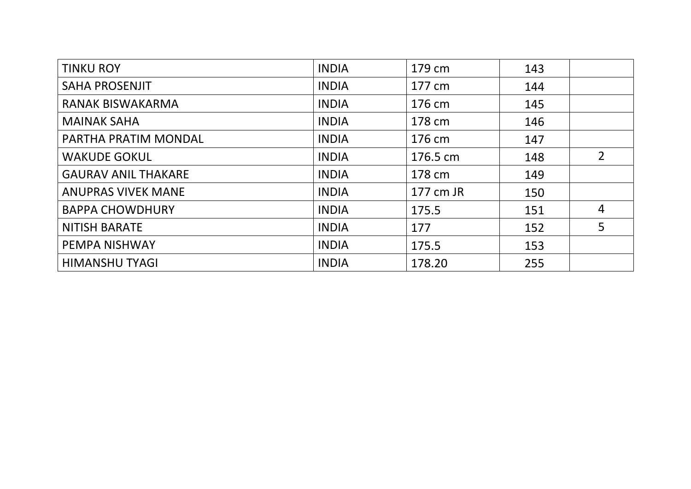| <b>TINKU ROY</b>           | <b>INDIA</b> | 179 cm    | 143 |                |
|----------------------------|--------------|-----------|-----|----------------|
| <b>SAHA PROSENJIT</b>      | <b>INDIA</b> | 177 cm    | 144 |                |
| <b>RANAK BISWAKARMA</b>    | <b>INDIA</b> | 176 cm    | 145 |                |
| <b>MAINAK SAHA</b>         | <b>INDIA</b> | 178 cm    | 146 |                |
| PARTHA PRATIM MONDAL       | <b>INDIA</b> | 176 cm    | 147 |                |
| <b>WAKUDE GOKUL</b>        | <b>INDIA</b> | 176.5 cm  | 148 | $\overline{2}$ |
| <b>GAURAV ANIL THAKARE</b> | <b>INDIA</b> | 178 cm    | 149 |                |
| <b>ANUPRAS VIVEK MANE</b>  | <b>INDIA</b> | 177 cm JR | 150 |                |
| <b>BAPPA CHOWDHURY</b>     | <b>INDIA</b> | 175.5     | 151 | $\overline{4}$ |
| <b>NITISH BARATE</b>       | <b>INDIA</b> | 177       | 152 | 5              |
| PEMPA NISHWAY              | <b>INDIA</b> | 175.5     | 153 |                |
| <b>HIMANSHU TYAGI</b>      | <b>INDIA</b> | 178.20    | 255 |                |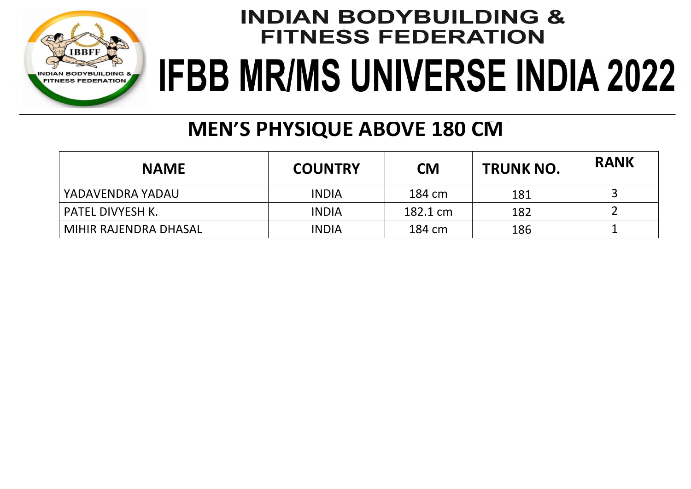

### **MEN'S PHYSIQUE ABOVE 180 CM**

| <b>NAME</b>           | <b>COUNTRY</b> | <b>CM</b> | <b>TRUNK NO.</b> | <b>RANK</b> |
|-----------------------|----------------|-----------|------------------|-------------|
| YADAVENDRA YADAU      | <b>INDIA</b>   | 184 cm    | 181              |             |
| PATEL DIVYESH K.      | <b>INDIA</b>   | 182.1 cm  | 182              |             |
| MIHIR RAJENDRA DHASAL | <b>INDIA</b>   | 184 cm    | 186              |             |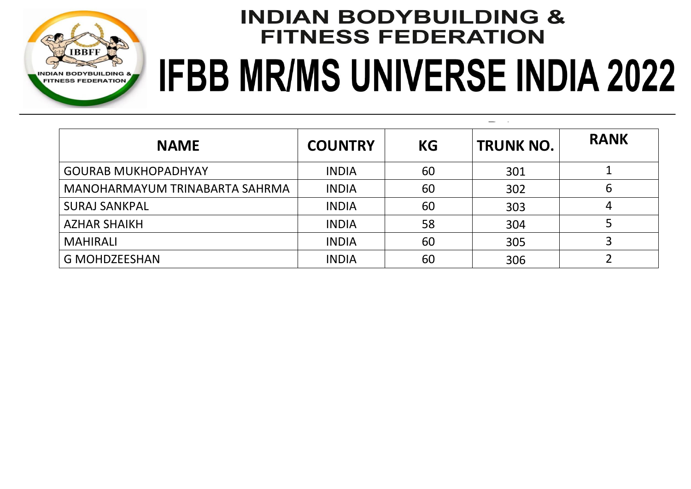

# **INDIAN BODYBUILDING & FITNESS FEDERATION JR BODY BUILDING 60 KG**

 $\overline{\phantom{0}}$  $\sim 10$ 

| <b>NAME</b>                    | <b>COUNTRY</b> | <b>KG</b> | <b>TRUNK NO.</b> | <b>RANK</b> |
|--------------------------------|----------------|-----------|------------------|-------------|
| <b>GOURAB MUKHOPADHYAY</b>     | <b>INDIA</b>   | 60        | 301              |             |
| MANOHARMAYUM TRINABARTA SAHRMA | <b>INDIA</b>   | 60        | 302              | 6           |
| <b>SURAJ SANKPAL</b>           | <b>INDIA</b>   | 60        | 303              | 4           |
| <b>AZHAR SHAIKH</b>            | <b>INDIA</b>   | 58        | 304              |             |
| <b>MAHIRALI</b>                | <b>INDIA</b>   | 60        | 305              |             |
| <b>G MOHDZEESHAN</b>           | <b>INDIA</b>   | 60        | 306              |             |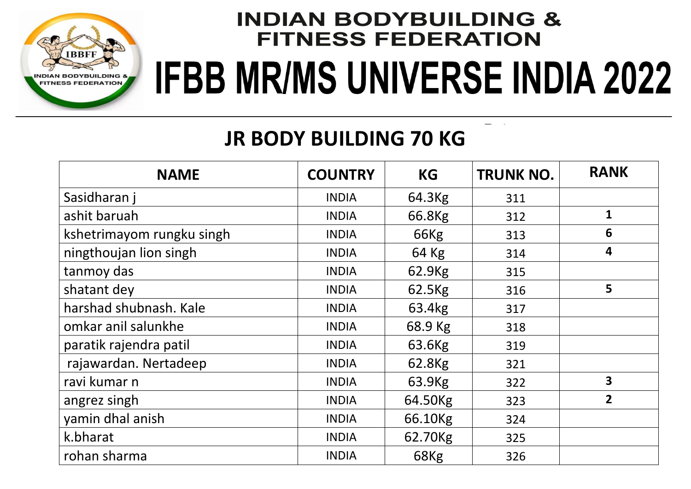

### **JR BODY BUILDING 70 KG**

| <b>NAME</b>               | <b>COUNTRY</b> | <b>KG</b>          | <b>TRUNK NO.</b> | <b>RANK</b>             |
|---------------------------|----------------|--------------------|------------------|-------------------------|
| Sasidharan j              | <b>INDIA</b>   | 64.3Kg             | 311              |                         |
| ashit baruah              | <b>INDIA</b>   | 66.8Kg             | 312              | $\mathbf{1}$            |
| kshetrimayom rungku singh | <b>INDIA</b>   | 66Kg               | 313              | 6                       |
| ningthoujan lion singh    | <b>INDIA</b>   | 64 Kg              | 314              | $\overline{\mathbf{4}}$ |
| tanmoy das                | <b>INDIA</b>   | 62.9Kg             | 315              |                         |
| shatant dey               | <b>INDIA</b>   | 62.5Kg             | 316              | 5                       |
| harshad shubnash. Kale    | <b>INDIA</b>   | 63.4kg             | 317              |                         |
| omkar anil salunkhe       | <b>INDIA</b>   | 68.9 Kg            | 318              |                         |
| paratik rajendra patil    | <b>INDIA</b>   | 63.6Kg             | 319              |                         |
| rajawardan. Nertadeep     | <b>INDIA</b>   | 62.8 <sub>Kg</sub> | 321              |                         |
| ravi kumar n              | <b>INDIA</b>   | 63.9Kg             | 322              | 3                       |
| angrez singh              | <b>INDIA</b>   | 64.50Kg            | 323              | $\overline{2}$          |
| yamin dhal anish          | <b>INDIA</b>   | 66.10Kg            | 324              |                         |
| k.bharat                  | <b>INDIA</b>   | 62.70Kg            | 325              |                         |
| rohan sharma              | <b>INDIA</b>   | 68Kg               | 326              |                         |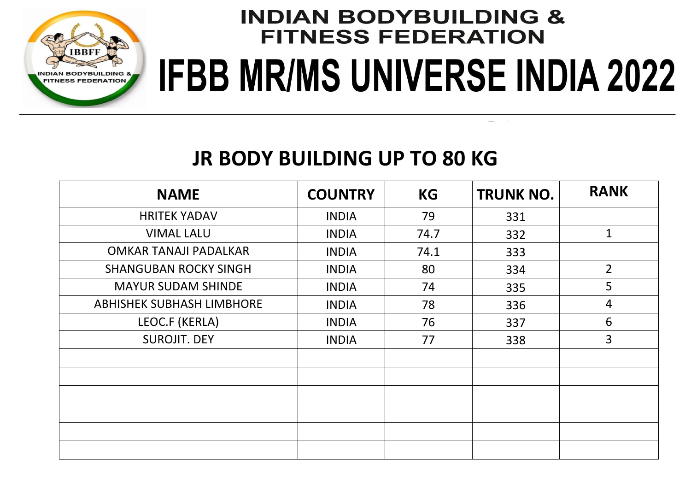

#### **JR BODY BUILDING UP TO 80 KG**

| <b>NAME</b>                      | <b>COUNTRY</b> | <b>KG</b> | <b>TRUNK NO.</b> | <b>RANK</b>    |
|----------------------------------|----------------|-----------|------------------|----------------|
| <b>HRITEK YADAV</b>              | <b>INDIA</b>   | 79        | 331              |                |
| <b>VIMAL LALU</b>                | <b>INDIA</b>   | 74.7      | 332              | $\mathbf{1}$   |
| <b>OMKAR TANAJI PADALKAR</b>     | <b>INDIA</b>   | 74.1      | 333              |                |
| <b>SHANGUBAN ROCKY SINGH</b>     | <b>INDIA</b>   | 80        | 334              | $\overline{2}$ |
| <b>MAYUR SUDAM SHINDE</b>        | <b>INDIA</b>   | 74        | 335              | 5              |
| <b>ABHISHEK SUBHASH LIMBHORE</b> | <b>INDIA</b>   | 78        | 336              | $\overline{4}$ |
| LEOC.F (KERLA)                   | <b>INDIA</b>   | 76        | 337              | 6              |
| <b>SUROJIT. DEY</b>              | <b>INDIA</b>   | 77        | 338              | 3              |
|                                  |                |           |                  |                |
|                                  |                |           |                  |                |
|                                  |                |           |                  |                |
|                                  |                |           |                  |                |
|                                  |                |           |                  |                |
|                                  |                |           |                  |                |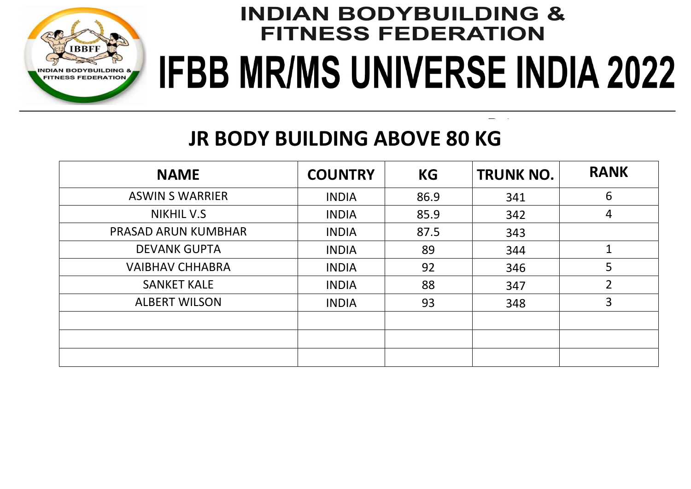

### **JR BODY BUILDING ABOVE 80 KG**

| <b>NAME</b>                | <b>COUNTRY</b> | <b>KG</b> | <b>TRUNK NO.</b> | <b>RANK</b>    |
|----------------------------|----------------|-----------|------------------|----------------|
| <b>ASWIN S WARRIER</b>     | <b>INDIA</b>   | 86.9      | 341              | 6              |
| <b>NIKHIL V.S</b>          | <b>INDIA</b>   | 85.9      | 342              | 4              |
| <b>PRASAD ARUN KUMBHAR</b> | <b>INDIA</b>   | 87.5      | 343              |                |
| <b>DEVANK GUPTA</b>        | <b>INDIA</b>   | 89        | 344              | $\mathbf 1$    |
| <b>VAIBHAV CHHABRA</b>     | <b>INDIA</b>   | 92        | 346              | 5              |
| <b>SANKET KALE</b>         | <b>INDIA</b>   | 88        | 347              | $\overline{2}$ |
| <b>ALBERT WILSON</b>       | <b>INDIA</b>   | 93        | 348              | 3              |
|                            |                |           |                  |                |
|                            |                |           |                  |                |
|                            |                |           |                  |                |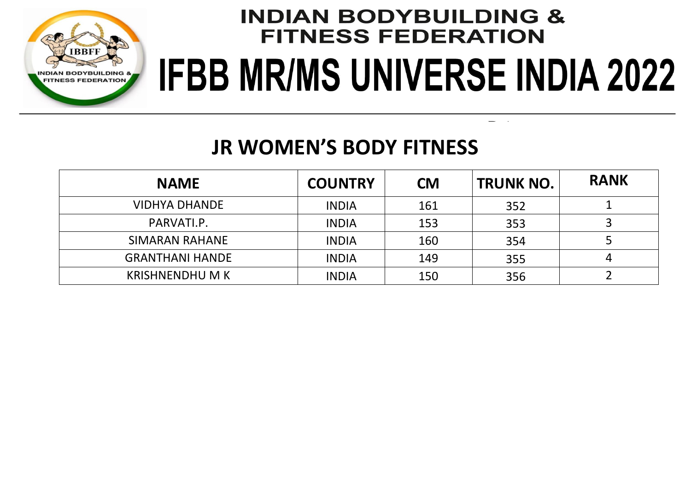

 $\sim 10$ 

### **JR WOMEN'S BODY FITNESS**

| <b>NAME</b>            | <b>COUNTRY</b> | <b>CM</b> | <b>TRUNK NO.</b> | <b>RANK</b> |
|------------------------|----------------|-----------|------------------|-------------|
| <b>VIDHYA DHANDE</b>   | <b>INDIA</b>   | 161       | 352              |             |
| PARVATI.P.             | <b>INDIA</b>   | 153       | 353              |             |
| <b>SIMARAN RAHANE</b>  | <b>INDIA</b>   | 160       | 354              |             |
| <b>GRANTHANI HANDE</b> | <b>INDIA</b>   | 149       | 355              |             |
| <b>KRISHNENDHUMK</b>   | <b>INDIA</b>   | 150       | 356              |             |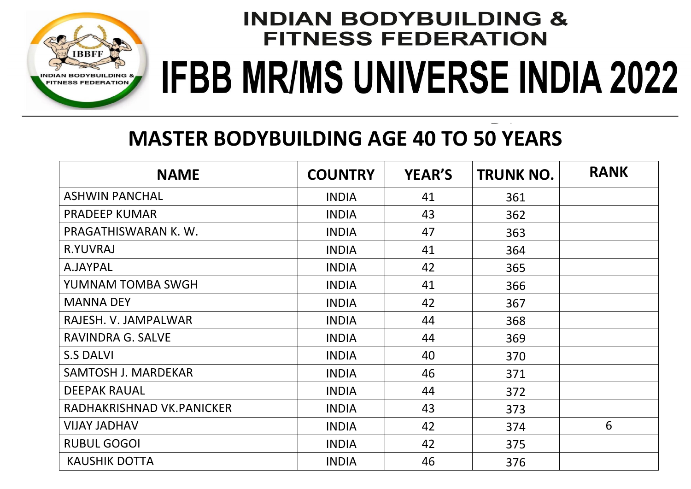

### **MASTER BODYBUILDING AGE 40 TO 50 YEARS**

| <b>NAME</b>                | <b>COUNTRY</b> | <b>YEAR'S</b> | <b>TRUNK NO.</b> | <b>RANK</b> |
|----------------------------|----------------|---------------|------------------|-------------|
| <b>ASHWIN PANCHAL</b>      | <b>INDIA</b>   | 41            | 361              |             |
| <b>PRADEEP KUMAR</b>       | <b>INDIA</b>   | 43            | 362              |             |
| PRAGATHISWARAN K.W.        | <b>INDIA</b>   | 47            | 363              |             |
| R.YUVRAJ                   | <b>INDIA</b>   | 41            | 364              |             |
| A.JAYPAL                   | <b>INDIA</b>   | 42            | 365              |             |
| YUMNAM TOMBA SWGH          | <b>INDIA</b>   | 41            | 366              |             |
| <b>MANNA DEY</b>           | <b>INDIA</b>   | 42            | 367              |             |
| RAJESH. V. JAMPALWAR       | <b>INDIA</b>   | 44            | 368              |             |
| RAVINDRA G. SALVE          | <b>INDIA</b>   | 44            | 369              |             |
| <b>S.S DALVI</b>           | <b>INDIA</b>   | 40            | 370              |             |
| <b>SAMTOSH J. MARDEKAR</b> | <b>INDIA</b>   | 46            | 371              |             |
| <b>DEEPAK RAUAL</b>        | <b>INDIA</b>   | 44            | 372              |             |
| RADHAKRISHNAD VK.PANICKER  | <b>INDIA</b>   | 43            | 373              |             |
| <b>VIJAY JADHAV</b>        | <b>INDIA</b>   | 42            | 374              | 6           |
| <b>RUBUL GOGOI</b>         | <b>INDIA</b>   | 42            | 375              |             |
| <b>KAUSHIK DOTTA</b>       | <b>INDIA</b>   | 46            | 376              |             |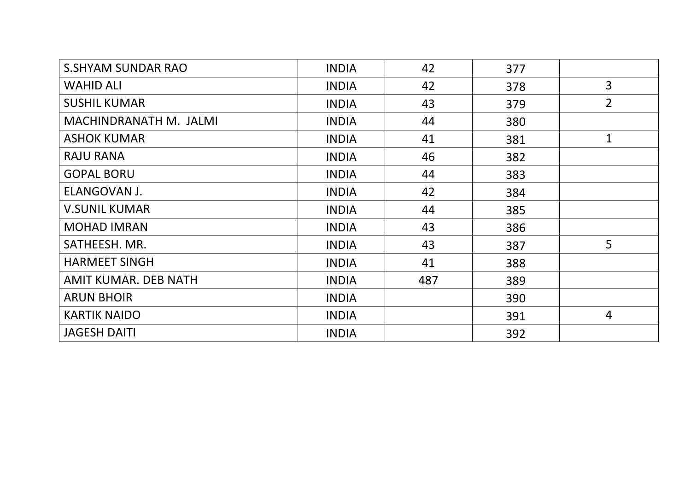| <b>S.SHYAM SUNDAR RAO</b> | <b>INDIA</b> | 42  | 377 |                |
|---------------------------|--------------|-----|-----|----------------|
| <b>WAHID ALI</b>          | <b>INDIA</b> | 42  | 378 | 3              |
| <b>SUSHIL KUMAR</b>       | <b>INDIA</b> | 43  | 379 | $\overline{2}$ |
| MACHINDRANATH M. JALMI    | <b>INDIA</b> | 44  | 380 |                |
| <b>ASHOK KUMAR</b>        | <b>INDIA</b> | 41  | 381 | 1              |
| <b>RAJU RANA</b>          | <b>INDIA</b> | 46  | 382 |                |
| <b>GOPAL BORU</b>         | <b>INDIA</b> | 44  | 383 |                |
| ELANGOVAN J.              | <b>INDIA</b> | 42  | 384 |                |
| <b>V.SUNIL KUMAR</b>      | <b>INDIA</b> | 44  | 385 |                |
| <b>MOHAD IMRAN</b>        | <b>INDIA</b> | 43  | 386 |                |
| SATHEESH. MR.             | <b>INDIA</b> | 43  | 387 | 5              |
| <b>HARMEET SINGH</b>      | <b>INDIA</b> | 41  | 388 |                |
| AMIT KUMAR. DEB NATH      | <b>INDIA</b> | 487 | 389 |                |
| <b>ARUN BHOIR</b>         | <b>INDIA</b> |     | 390 |                |
| <b>KARTIK NAIDO</b>       | <b>INDIA</b> |     | 391 | $\overline{4}$ |
| <b>JAGESH DAITI</b>       | <b>INDIA</b> |     | 392 |                |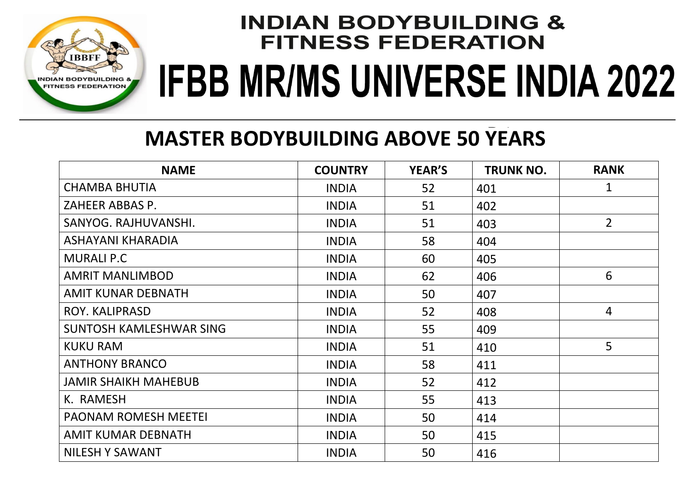

### **MASTER BODYBUILDING ABOVE 50 YEARS**

| <b>NAME</b>                 | <b>COUNTRY</b> | <b>YEAR'S</b> | <b>TRUNK NO.</b> | <b>RANK</b>    |
|-----------------------------|----------------|---------------|------------------|----------------|
| <b>CHAMBA BHUTIA</b>        | <b>INDIA</b>   | 52            | 401              | 1              |
| ZAHEER ABBAS P.             | <b>INDIA</b>   | 51            | 402              |                |
| SANYOG. RAJHUVANSHI.        | <b>INDIA</b>   | 51            | 403              | $\overline{2}$ |
| ASHAYANI KHARADIA           | <b>INDIA</b>   | 58            | 404              |                |
| <b>MURALI P.C</b>           | <b>INDIA</b>   | 60            | 405              |                |
| <b>AMRIT MANLIMBOD</b>      | <b>INDIA</b>   | 62            | 406              | 6              |
| AMIT KUNAR DEBNATH          | <b>INDIA</b>   | 50            | 407              |                |
| ROY. KALIPRASD              | <b>INDIA</b>   | 52            | 408              | $\overline{4}$ |
| SUNTOSH KAMLESHWAR SING     | <b>INDIA</b>   | 55            | 409              |                |
| <b>KUKU RAM</b>             | <b>INDIA</b>   | 51            | 410              | 5              |
| <b>ANTHONY BRANCO</b>       | <b>INDIA</b>   | 58            | 411              |                |
| <b>JAMIR SHAIKH MAHEBUB</b> | <b>INDIA</b>   | 52            | 412              |                |
| K. RAMESH                   | <b>INDIA</b>   | 55            | 413              |                |
| <b>PAONAM ROMESH MEETEI</b> | <b>INDIA</b>   | 50            | 414              |                |
| AMIT KUMAR DEBNATH          | <b>INDIA</b>   | 50            | 415              |                |
| <b>NILESH Y SAWANT</b>      | <b>INDIA</b>   | 50            | 416              |                |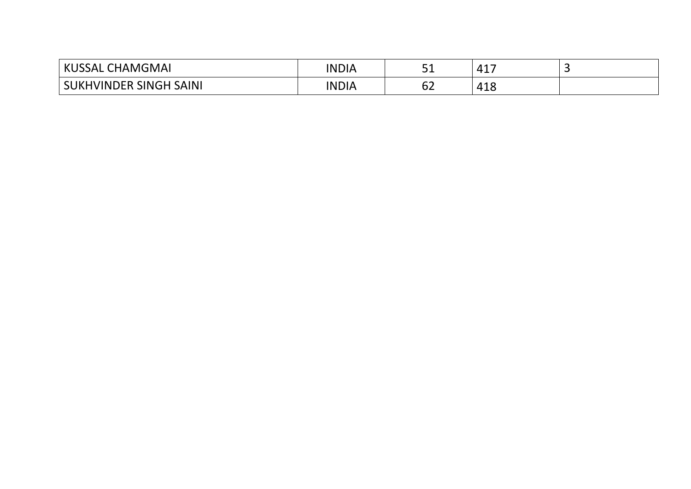| KUS <sup>c</sup><br><b>CHAMGMAI</b><br><b>SSAL</b> | <b>INDIA</b> | ᇰᆂ       | ┱┻                      |  |
|----------------------------------------------------|--------------|----------|-------------------------|--|
| SUKHVINDER SINGH SAINI                             | <b>INDIA</b> | ~~<br>∪∠ | $\sim$ 10 $\sim$<br>т⊥∪ |  |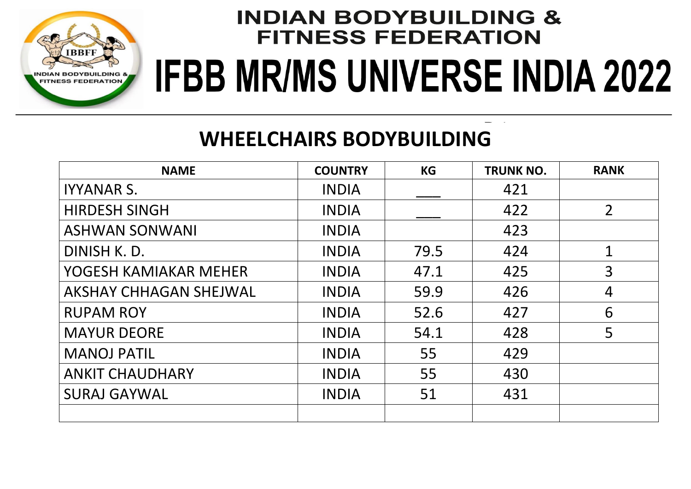

### **WHEELCHAIRS BODYBUILDING**

| <b>NAME</b>                   | <b>COUNTRY</b> | <b>KG</b> | <b>TRUNK NO.</b> | <b>RANK</b>    |
|-------------------------------|----------------|-----------|------------------|----------------|
| <b>IYYANAR S.</b>             | <b>INDIA</b>   |           | 421              |                |
| <b>HIRDESH SINGH</b>          | <b>INDIA</b>   |           | 422              | $\overline{2}$ |
| <b>ASHWAN SONWANI</b>         | <b>INDIA</b>   |           | 423              |                |
| DINISH K.D.                   | <b>INDIA</b>   | 79.5      | 424              | $\mathbf 1$    |
| YOGESH KAMIAKAR MEHER         | <b>INDIA</b>   | 47.1      | 425              | $\overline{3}$ |
| <b>AKSHAY CHHAGAN SHEJWAL</b> | <b>INDIA</b>   | 59.9      | 426              | $\overline{4}$ |
| <b>RUPAM ROY</b>              | <b>INDIA</b>   | 52.6      | 427              | 6              |
| <b>MAYUR DEORE</b>            | <b>INDIA</b>   | 54.1      | 428              | 5              |
| <b>MANOJ PATIL</b>            | <b>INDIA</b>   | 55        | 429              |                |
| <b>ANKIT CHAUDHARY</b>        | <b>INDIA</b>   | 55        | 430              |                |
| <b>SURAJ GAYWAL</b>           | <b>INDIA</b>   | 51        | 431              |                |
|                               |                |           |                  |                |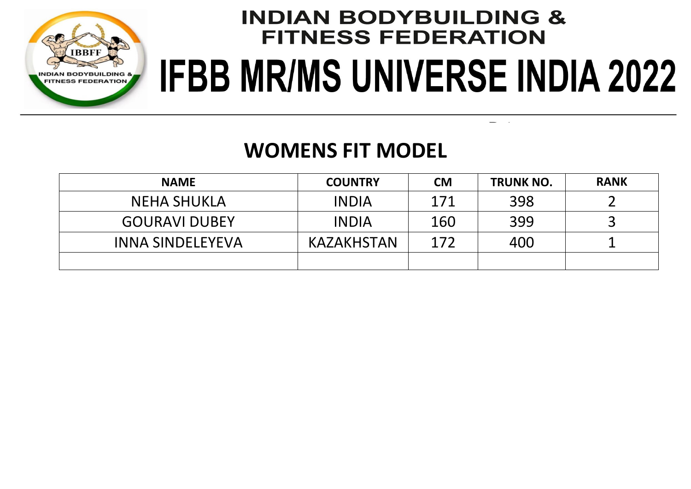

 $\sim$   $\alpha$  $\sim$ 

### **WOMENS FIT MODEL**

| <b>NAME</b>             | <b>COUNTRY</b> | <b>CM</b> | <b>TRUNK NO.</b> | <b>RANK</b> |
|-------------------------|----------------|-----------|------------------|-------------|
| <b>NEHA SHUKLA</b>      | <b>INDIA</b>   | 171       | 398              |             |
| <b>GOURAVI DUBEY</b>    | <b>INDIA</b>   | 160       | 399              |             |
| <b>INNA SINDELEYEVA</b> | KAZAKHSTAN     | 172       | 400              |             |
|                         |                |           |                  |             |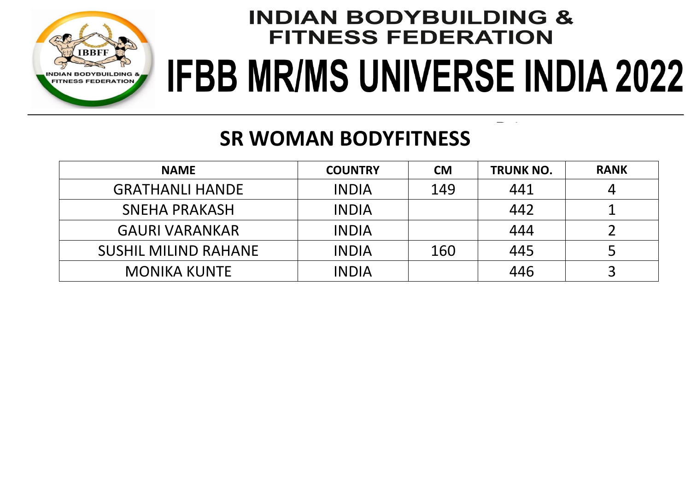

### **SR WOMAN BODYFITNESS**

| <b>NAME</b>                 | <b>COUNTRY</b> | <b>CM</b> | <b>TRUNK NO.</b> | <b>RANK</b> |
|-----------------------------|----------------|-----------|------------------|-------------|
| <b>GRATHANLI HANDE</b>      | <b>INDIA</b>   | 149       | 441              |             |
| <b>SNEHA PRAKASH</b>        | <b>INDIA</b>   |           | 442              |             |
| <b>GAURI VARANKAR</b>       | <b>INDIA</b>   |           | 444              |             |
| <b>SUSHIL MILIND RAHANE</b> | <b>INDIA</b>   | 160       | 445              |             |
| <b>MONIKA KUNTE</b>         | <b>INDIA</b>   |           | 446              |             |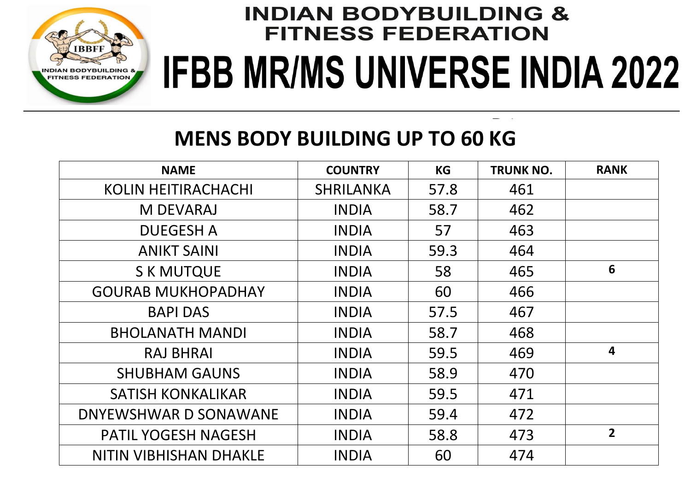

#### **MENS BODY BUILDING UP TO 60 KG**

| <b>NAME</b>                   | <b>COUNTRY</b>   | <b>KG</b> | <b>TRUNK NO.</b> | <b>RANK</b>             |
|-------------------------------|------------------|-----------|------------------|-------------------------|
| <b>KOLIN HEITIRACHACHI</b>    | <b>SHRILANKA</b> | 57.8      | 461              |                         |
| <b>M DEVARAJ</b>              | <b>INDIA</b>     | 58.7      | 462              |                         |
| <b>DUEGESH A</b>              | <b>INDIA</b>     | 57        | 463              |                         |
| <b>ANIKT SAINI</b>            | <b>INDIA</b>     | 59.3      | 464              |                         |
| <b>S K MUTQUE</b>             | <b>INDIA</b>     | 58        | 465              | 6                       |
| <b>GOURAB MUKHOPADHAY</b>     | <b>INDIA</b>     | 60        | 466              |                         |
| <b>BAPI DAS</b>               | <b>INDIA</b>     | 57.5      | 467              |                         |
| <b>BHOLANATH MANDI</b>        | <b>INDIA</b>     | 58.7      | 468              |                         |
| <b>RAJ BHRAI</b>              | <b>INDIA</b>     | 59.5      | 469              | $\overline{\mathbf{4}}$ |
| <b>SHUBHAM GAUNS</b>          | <b>INDIA</b>     | 58.9      | 470              |                         |
| <b>SATISH KONKALIKAR</b>      | <b>INDIA</b>     | 59.5      | 471              |                         |
| DNYEWSHWAR D SONAWANE         | <b>INDIA</b>     | 59.4      | 472              |                         |
| <b>PATIL YOGESH NAGESH</b>    | <b>INDIA</b>     | 58.8      | 473              | $\overline{2}$          |
| <b>NITIN VIBHISHAN DHAKLE</b> | <b>INDIA</b>     | 60        | 474              |                         |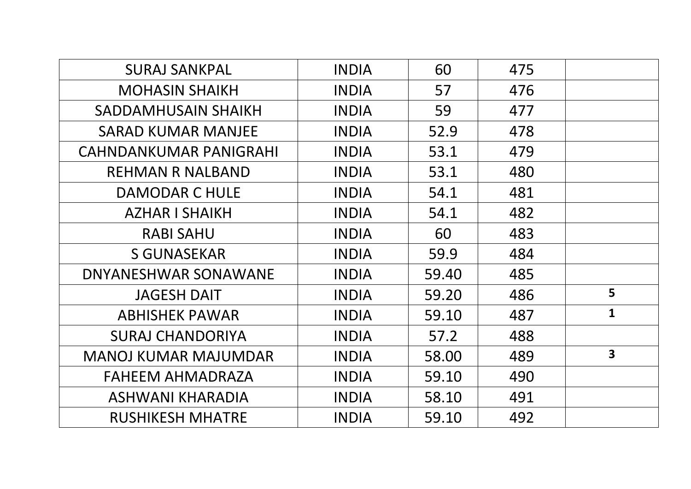| <b>SURAJ SANKPAL</b>          | <b>INDIA</b> | 60    | 475 |                         |
|-------------------------------|--------------|-------|-----|-------------------------|
| <b>MOHASIN SHAIKH</b>         | <b>INDIA</b> | 57    | 476 |                         |
| SADDAMHUSAIN SHAIKH           | <b>INDIA</b> | 59    | 477 |                         |
| <b>SARAD KUMAR MANJEE</b>     | <b>INDIA</b> | 52.9  | 478 |                         |
| <b>CAHNDANKUMAR PANIGRAHI</b> | <b>INDIA</b> | 53.1  | 479 |                         |
| <b>REHMAN R NALBAND</b>       | <b>INDIA</b> | 53.1  | 480 |                         |
| <b>DAMODAR C HULE</b>         | <b>INDIA</b> | 54.1  | 481 |                         |
| <b>AZHAR I SHAIKH</b>         | <b>INDIA</b> | 54.1  | 482 |                         |
| <b>RABI SAHU</b>              | <b>INDIA</b> | 60    | 483 |                         |
| <b>S GUNASEKAR</b>            | <b>INDIA</b> | 59.9  | 484 |                         |
| DNYANESHWAR SONAWANE          | <b>INDIA</b> | 59.40 | 485 |                         |
| <b>JAGESH DAIT</b>            | <b>INDIA</b> | 59.20 | 486 | 5                       |
| <b>ABHISHEK PAWAR</b>         | <b>INDIA</b> | 59.10 | 487 | $\mathbf{1}$            |
| <b>SURAJ CHANDORIYA</b>       | <b>INDIA</b> | 57.2  | 488 |                         |
| <b>MANOJ KUMAR MAJUMDAR</b>   | <b>INDIA</b> | 58.00 | 489 | $\overline{\mathbf{3}}$ |
| FAHEEM AHMADRAZA              | <b>INDIA</b> | 59.10 | 490 |                         |
| ASHWANI KHARADIA              | <b>INDIA</b> | 58.10 | 491 |                         |
| <b>RUSHIKESH MHATRE</b>       | <b>INDIA</b> | 59.10 | 492 |                         |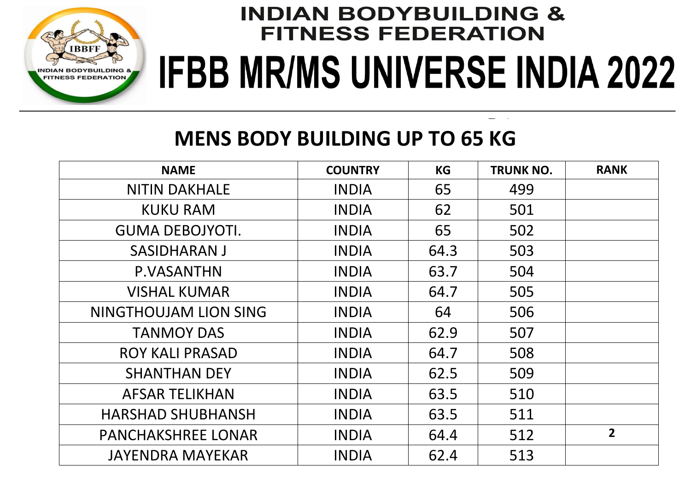

#### **MENS BODY BUILDING UP TO 65 KG**

| <b>NAME</b>               | <b>COUNTRY</b> | <b>KG</b> | <b>TRUNK NO.</b> | <b>RANK</b>    |
|---------------------------|----------------|-----------|------------------|----------------|
| <b>NITIN DAKHALE</b>      | <b>INDIA</b>   | 65        | 499              |                |
| <b>KUKU RAM</b>           | <b>INDIA</b>   | 62        | 501              |                |
| <b>GUMA DEBOJYOTI.</b>    | <b>INDIA</b>   | 65        | 502              |                |
| <b>SASIDHARAN J</b>       | <b>INDIA</b>   | 64.3      | 503              |                |
| P.VASANTHN                | <b>INDIA</b>   | 63.7      | 504              |                |
| <b>VISHAL KUMAR</b>       | <b>INDIA</b>   | 64.7      | 505              |                |
| NINGTHOUJAM LION SING     | <b>INDIA</b>   | 64        | 506              |                |
| <b>TANMOY DAS</b>         | <b>INDIA</b>   | 62.9      | 507              |                |
| <b>ROY KALI PRASAD</b>    | <b>INDIA</b>   | 64.7      | 508              |                |
| <b>SHANTHAN DEY</b>       | <b>INDIA</b>   | 62.5      | 509              |                |
| <b>AFSAR TELIKHAN</b>     | <b>INDIA</b>   | 63.5      | 510              |                |
| <b>HARSHAD SHUBHANSH</b>  | <b>INDIA</b>   | 63.5      | 511              |                |
| <b>PANCHAKSHREE LONAR</b> | <b>INDIA</b>   | 64.4      | 512              | $\overline{2}$ |
| <b>JAYENDRA MAYEKAR</b>   | <b>INDIA</b>   | 62.4      | 513              |                |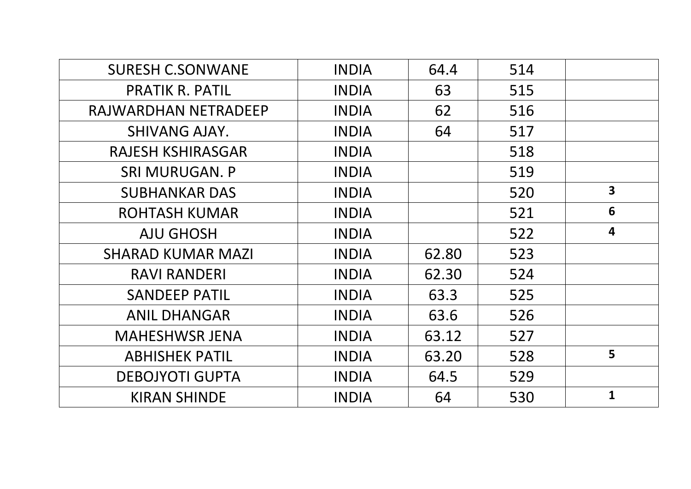| <b>SURESH C.SONWANE</b>  | <b>INDIA</b> | 64.4  | 514 |                         |
|--------------------------|--------------|-------|-----|-------------------------|
| <b>PRATIK R. PATIL</b>   | <b>INDIA</b> | 63    | 515 |                         |
| RAJWARDHAN NETRADEEP     | <b>INDIA</b> | 62    | 516 |                         |
| <b>SHIVANG AJAY.</b>     | <b>INDIA</b> | 64    | 517 |                         |
| <b>RAJESH KSHIRASGAR</b> | <b>INDIA</b> |       | 518 |                         |
| <b>SRI MURUGAN. P</b>    | <b>INDIA</b> |       | 519 |                         |
| <b>SUBHANKAR DAS</b>     | <b>INDIA</b> |       | 520 | $\overline{\mathbf{3}}$ |
| <b>ROHTASH KUMAR</b>     | <b>INDIA</b> |       | 521 | 6                       |
| <b>AJU GHOSH</b>         | <b>INDIA</b> |       | 522 | $\overline{\mathbf{4}}$ |
| <b>SHARAD KUMAR MAZI</b> | <b>INDIA</b> | 62.80 | 523 |                         |
| <b>RAVI RANDERI</b>      | <b>INDIA</b> | 62.30 | 524 |                         |
| <b>SANDEEP PATIL</b>     | <b>INDIA</b> | 63.3  | 525 |                         |
| <b>ANIL DHANGAR</b>      | <b>INDIA</b> | 63.6  | 526 |                         |
| <b>MAHESHWSR JENA</b>    | <b>INDIA</b> | 63.12 | 527 |                         |
| <b>ABHISHEK PATIL</b>    | <b>INDIA</b> | 63.20 | 528 | 5                       |
| <b>DEBOJYOTI GUPTA</b>   | <b>INDIA</b> | 64.5  | 529 |                         |
| <b>KIRAN SHINDE</b>      | <b>INDIA</b> | 64    | 530 | $\mathbf{1}$            |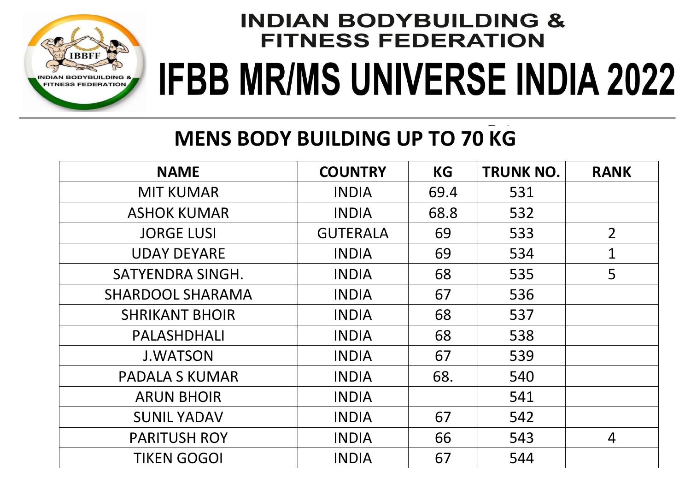

### **MENS BODY BUILDING UP TO 70 KG**

| <b>NAME</b>             | <b>COUNTRY</b>  | <b>KG</b> | <b>TRUNK NO.</b> | <b>RANK</b>    |
|-------------------------|-----------------|-----------|------------------|----------------|
| <b>MIT KUMAR</b>        | <b>INDIA</b>    | 69.4      | 531              |                |
| <b>ASHOK KUMAR</b>      | <b>INDIA</b>    | 68.8      | 532              |                |
| <b>JORGE LUSI</b>       | <b>GUTERALA</b> | 69        | 533              | $\overline{2}$ |
| <b>UDAY DEYARE</b>      | <b>INDIA</b>    | 69        | 534              | $\mathbf{1}$   |
| SATYENDRA SINGH.        | <b>INDIA</b>    | 68        | 535              | 5              |
| <b>SHARDOOL SHARAMA</b> | <b>INDIA</b>    | 67        | 536              |                |
| <b>SHRIKANT BHOIR</b>   | <b>INDIA</b>    | 68        | 537              |                |
| PALASHDHALI             | <b>INDIA</b>    | 68        | 538              |                |
| <b>J.WATSON</b>         | <b>INDIA</b>    | 67        | 539              |                |
| <b>PADALA S KUMAR</b>   | <b>INDIA</b>    | 68.       | 540              |                |
| <b>ARUN BHOIR</b>       | <b>INDIA</b>    |           | 541              |                |
| <b>SUNIL YADAV</b>      | <b>INDIA</b>    | 67        | 542              |                |
| <b>PARITUSH ROY</b>     | <b>INDIA</b>    | 66        | 543              | 4              |
| <b>TIKEN GOGOI</b>      | <b>INDIA</b>    | 67        | 544              |                |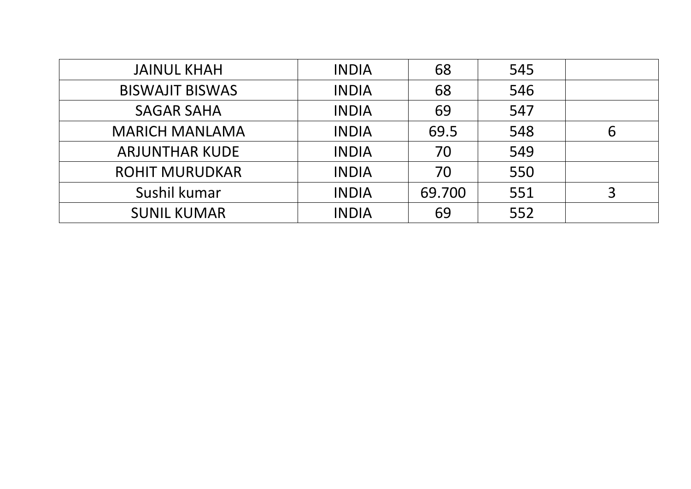| <b>JAINUL KHAH</b>     | <b>INDIA</b> | 68     | 545 |   |
|------------------------|--------------|--------|-----|---|
| <b>BISWAJIT BISWAS</b> | <b>INDIA</b> | 68     | 546 |   |
| <b>SAGAR SAHA</b>      | <b>INDIA</b> | 69     | 547 |   |
| <b>MARICH MANLAMA</b>  | <b>INDIA</b> | 69.5   | 548 | 6 |
| <b>ARJUNTHAR KUDE</b>  | <b>INDIA</b> | 70     | 549 |   |
| <b>ROHIT MURUDKAR</b>  | <b>INDIA</b> | 70     | 550 |   |
| Sushil kumar           | <b>INDIA</b> | 69.700 | 551 |   |
| <b>SUNIL KUMAR</b>     | <b>INDIA</b> | 69     | 552 |   |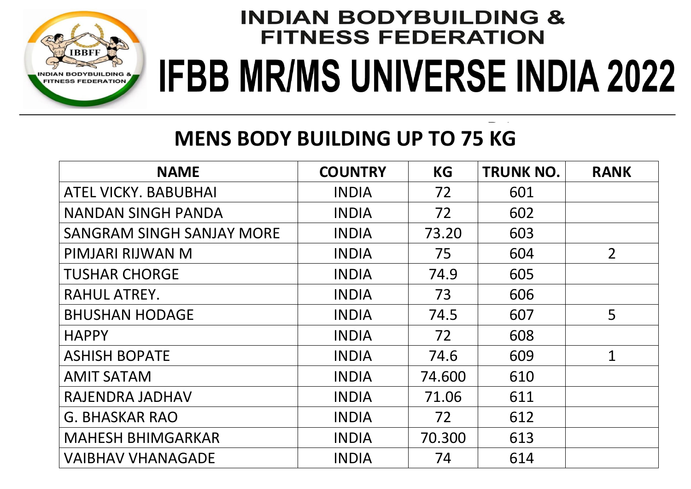

### **MENS BODY BUILDING UP TO 75 KG**

| <b>NAME</b>                      | <b>COUNTRY</b> | <b>KG</b> | <b>TRUNK NO.</b> | <b>RANK</b>    |
|----------------------------------|----------------|-----------|------------------|----------------|
| <b>ATEL VICKY, BABUBHAI</b>      | <b>INDIA</b>   | 72        | 601              |                |
| <b>NANDAN SINGH PANDA</b>        | <b>INDIA</b>   | 72        | 602              |                |
| <b>SANGRAM SINGH SANJAY MORE</b> | <b>INDIA</b>   | 73.20     | 603              |                |
| PIMJARI RIJWAN M                 | <b>INDIA</b>   | 75        | 604              | $\overline{2}$ |
| <b>TUSHAR CHORGE</b>             | <b>INDIA</b>   | 74.9      | 605              |                |
| RAHUL ATREY.                     | <b>INDIA</b>   | 73        | 606              |                |
| <b>BHUSHAN HODAGE</b>            | <b>INDIA</b>   | 74.5      | 607              | 5              |
| <b>HAPPY</b>                     | <b>INDIA</b>   | 72        | 608              |                |
| <b>ASHISH BOPATE</b>             | <b>INDIA</b>   | 74.6      | 609              | $\mathbf{1}$   |
| <b>AMIT SATAM</b>                | <b>INDIA</b>   | 74.600    | 610              |                |
| RAJENDRA JADHAV                  | <b>INDIA</b>   | 71.06     | 611              |                |
| <b>G. BHASKAR RAO</b>            | <b>INDIA</b>   | 72        | 612              |                |
| <b>MAHESH BHIMGARKAR</b>         | <b>INDIA</b>   | 70.300    | 613              |                |
| <b>VAIBHAV VHANAGADE</b>         | <b>INDIA</b>   | 74        | 614              |                |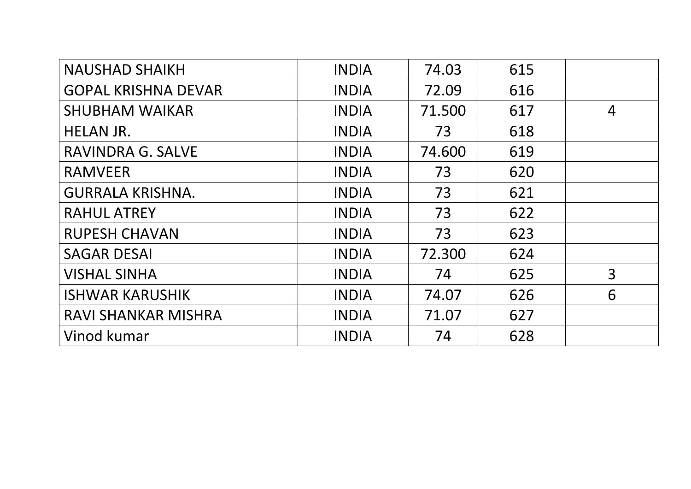| <b>NAUSHAD SHAIKH</b>      | <b>INDIA</b> | 74.03  | 615 |                |
|----------------------------|--------------|--------|-----|----------------|
| <b>GOPAL KRISHNA DEVAR</b> | <b>INDIA</b> | 72.09  | 616 |                |
| <b>SHUBHAM WAIKAR</b>      | <b>INDIA</b> | 71.500 | 617 | 4              |
| <b>HELAN JR.</b>           | <b>INDIA</b> | 73     | 618 |                |
| <b>RAVINDRA G. SALVE</b>   | <b>INDIA</b> | 74.600 | 619 |                |
| <b>RAMVEER</b>             | <b>INDIA</b> | 73     | 620 |                |
| <b>GURRALA KRISHNA.</b>    | <b>INDIA</b> | 73     | 621 |                |
| <b>RAHUL ATREY</b>         | <b>INDIA</b> | 73     | 622 |                |
| <b>RUPESH CHAVAN</b>       | <b>INDIA</b> | 73     | 623 |                |
| <b>SAGAR DESAI</b>         | <b>INDIA</b> | 72.300 | 624 |                |
| <b>VISHAL SINHA</b>        | <b>INDIA</b> | 74     | 625 | $\overline{3}$ |
| <b>ISHWAR KARUSHIK</b>     | <b>INDIA</b> | 74.07  | 626 | 6              |
| RAVI SHANKAR MISHRA        | <b>INDIA</b> | 71.07  | 627 |                |
| Vinod kumar                | <b>INDIA</b> | 74     | 628 |                |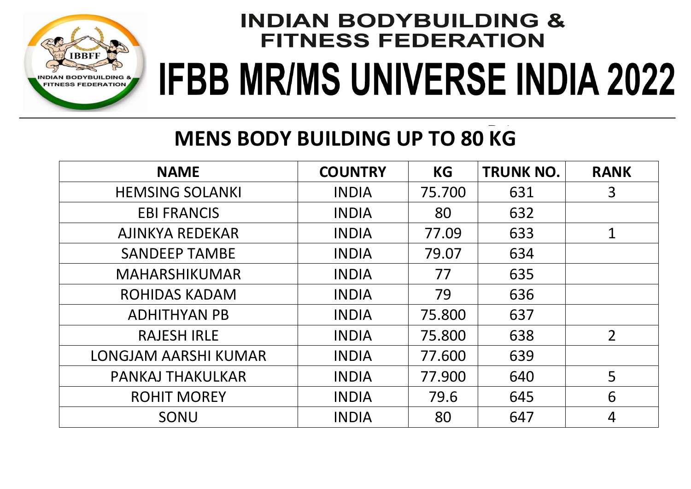

### **MENS BODY BUILDING UP TO 80 KG**

| <b>NAME</b>                 | <b>COUNTRY</b> | <b>KG</b> | <b>TRUNK NO.</b> | <b>RANK</b>    |
|-----------------------------|----------------|-----------|------------------|----------------|
| <b>HEMSING SOLANKI</b>      | <b>INDIA</b>   | 75.700    | 631              | 3              |
| <b>EBI FRANCIS</b>          | <b>INDIA</b>   | 80        | 632              |                |
| <b>AJINKYA REDEKAR</b>      | <b>INDIA</b>   | 77.09     | 633              | $\mathbf{1}$   |
| <b>SANDEEP TAMBE</b>        | <b>INDIA</b>   | 79.07     | 634              |                |
| <b>MAHARSHIKUMAR</b>        | <b>INDIA</b>   | 77        | 635              |                |
| <b>ROHIDAS KADAM</b>        | <b>INDIA</b>   | 79        | 636              |                |
| <b>ADHITHYAN PB</b>         | <b>INDIA</b>   | 75.800    | 637              |                |
| <b>RAJESH IRLE</b>          | <b>INDIA</b>   | 75.800    | 638              | $\overline{2}$ |
| <b>LONGJAM AARSHI KUMAR</b> | <b>INDIA</b>   | 77.600    | 639              |                |
| PANKAJ THAKULKAR            | <b>INDIA</b>   | 77.900    | 640              | 5              |
| <b>ROHIT MOREY</b>          | <b>INDIA</b>   | 79.6      | 645              | 6              |
| SONU                        | <b>INDIA</b>   | 80        | 647              | $\overline{4}$ |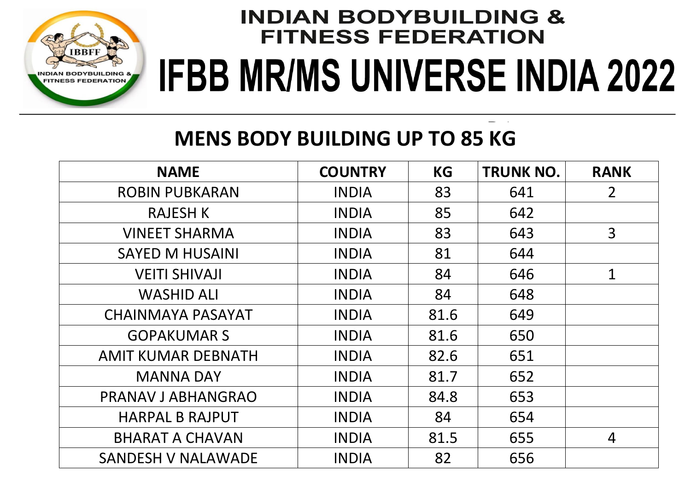

### **MENS BODY BUILDING UP TO 85 KG**

| <b>NAME</b>               | <b>COUNTRY</b> | <b>KG</b> | <b>TRUNK NO.</b> | <b>RANK</b>    |
|---------------------------|----------------|-----------|------------------|----------------|
| <b>ROBIN PUBKARAN</b>     | <b>INDIA</b>   | 83        | 641              | 2 <sup>1</sup> |
| <b>RAJESH K</b>           | <b>INDIA</b>   | 85        | 642              |                |
| <b>VINEET SHARMA</b>      | <b>INDIA</b>   | 83        | 643              | $\overline{3}$ |
| <b>SAYED M HUSAINI</b>    | <b>INDIA</b>   | 81        | 644              |                |
| <b>VEITI SHIVAJI</b>      | <b>INDIA</b>   | 84        | 646              | $\mathbf{1}$   |
| <b>WASHID ALI</b>         | <b>INDIA</b>   | 84        | 648              |                |
| <b>CHAINMAYA PASAYAT</b>  | <b>INDIA</b>   | 81.6      | 649              |                |
| <b>GOPAKUMAR S</b>        | <b>INDIA</b>   | 81.6      | 650              |                |
| <b>AMIT KUMAR DEBNATH</b> | <b>INDIA</b>   | 82.6      | 651              |                |
| <b>MANNA DAY</b>          | <b>INDIA</b>   | 81.7      | 652              |                |
| PRANAV J ABHANGRAO        | <b>INDIA</b>   | 84.8      | 653              |                |
| <b>HARPAL B RAJPUT</b>    | <b>INDIA</b>   | 84        | 654              |                |
| <b>BHARAT A CHAVAN</b>    | <b>INDIA</b>   | 81.5      | 655              | 4              |
| <b>SANDESH V NALAWADE</b> | <b>INDIA</b>   | 82        | 656              |                |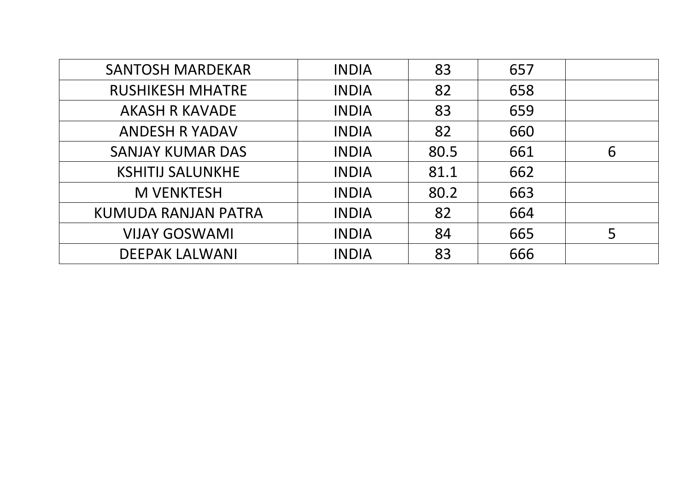| <b>SANTOSH MARDEKAR</b> | <b>INDIA</b> | 83   | 657 |   |
|-------------------------|--------------|------|-----|---|
| <b>RUSHIKESH MHATRE</b> | <b>INDIA</b> | 82   | 658 |   |
| <b>AKASH R KAVADE</b>   | <b>INDIA</b> | 83   | 659 |   |
| <b>ANDESH R YADAV</b>   | <b>INDIA</b> | 82   | 660 |   |
| <b>SANJAY KUMAR DAS</b> | <b>INDIA</b> | 80.5 | 661 | 6 |
| <b>KSHITIJ SALUNKHE</b> | <b>INDIA</b> | 81.1 | 662 |   |
| <b>M VENKTESH</b>       | <b>INDIA</b> | 80.2 | 663 |   |
| KUMUDA RANJAN PATRA     | <b>INDIA</b> | 82   | 664 |   |
| <b>VIJAY GOSWAMI</b>    | <b>INDIA</b> | 84   | 665 | 5 |
| <b>DEEPAK LALWANI</b>   | <b>INDIA</b> | 83   | 666 |   |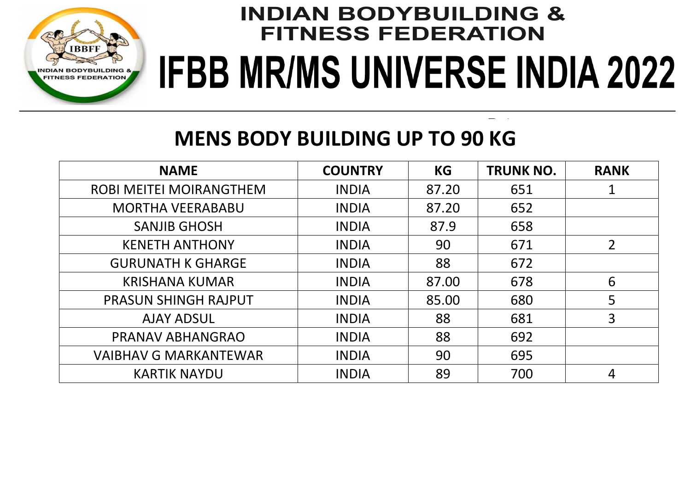

#### **MENS BODY BUILDING UP TO 90 KG**

| <b>NAME</b>                    | <b>COUNTRY</b> | <b>KG</b> | <b>TRUNK NO.</b> | <b>RANK</b>    |
|--------------------------------|----------------|-----------|------------------|----------------|
| <b>ROBI MEITEI MOIRANGTHEM</b> | <b>INDIA</b>   | 87.20     | 651              | 1              |
| <b>MORTHA VEERABABU</b>        | <b>INDIA</b>   | 87.20     | 652              |                |
| <b>SANJIB GHOSH</b>            | <b>INDIA</b>   | 87.9      | 658              |                |
| <b>KENETH ANTHONY</b>          | <b>INDIA</b>   | 90        | 671              | $\overline{2}$ |
| <b>GURUNATH K GHARGE</b>       | <b>INDIA</b>   | 88        | 672              |                |
| <b>KRISHANA KUMAR</b>          | <b>INDIA</b>   | 87.00     | 678              | 6              |
| <b>PRASUN SHINGH RAJPUT</b>    | <b>INDIA</b>   | 85.00     | 680              | 5              |
| <b>AJAY ADSUL</b>              | <b>INDIA</b>   | 88        | 681              | 3              |
| PRANAV ABHANGRAO               | <b>INDIA</b>   | 88        | 692              |                |
| <b>VAIBHAV G MARKANTEWAR</b>   | <b>INDIA</b>   | 90        | 695              |                |
| <b>KARTIK NAYDU</b>            | <b>INDIA</b>   | 89        | 700              | 4              |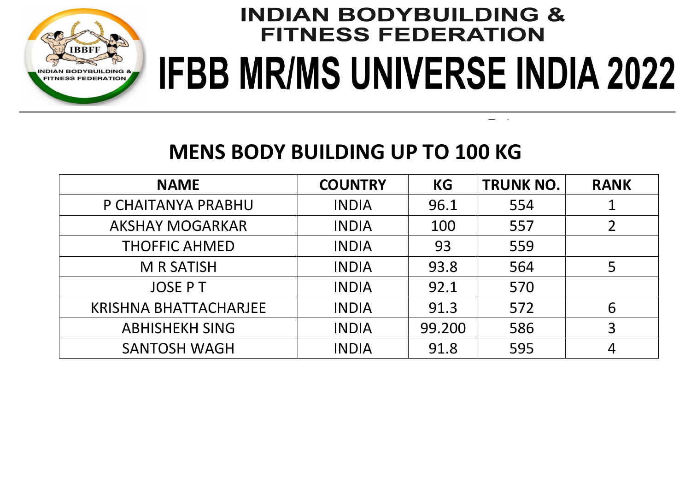

#### **MENS BODY BUILDING UP TO 100 KG**

| <b>NAME</b>                  | <b>COUNTRY</b> | <b>KG</b> | <b>TRUNK NO.</b> | <b>RANK</b> |
|------------------------------|----------------|-----------|------------------|-------------|
| P CHAITANYA PRABHU           | <b>INDIA</b>   | 96.1      | 554              |             |
| <b>AKSHAY MOGARKAR</b>       | <b>INDIA</b>   | 100       | 557              |             |
| <b>THOFFIC AHMED</b>         | <b>INDIA</b>   | 93        | 559              |             |
| <b>M R SATISH</b>            | <b>INDIA</b>   | 93.8      | 564              | 5           |
| <b>JOSE PT</b>               | <b>INDIA</b>   | 92.1      | 570              |             |
| <b>KRISHNA BHATTACHARJEE</b> | <b>INDIA</b>   | 91.3      | 572              | 6           |
| <b>ABHISHEKH SING</b>        | <b>INDIA</b>   | 99.200    | 586              | 3           |
| <b>SANTOSH WAGH</b>          | <b>INDIA</b>   | 91.8      | 595              |             |